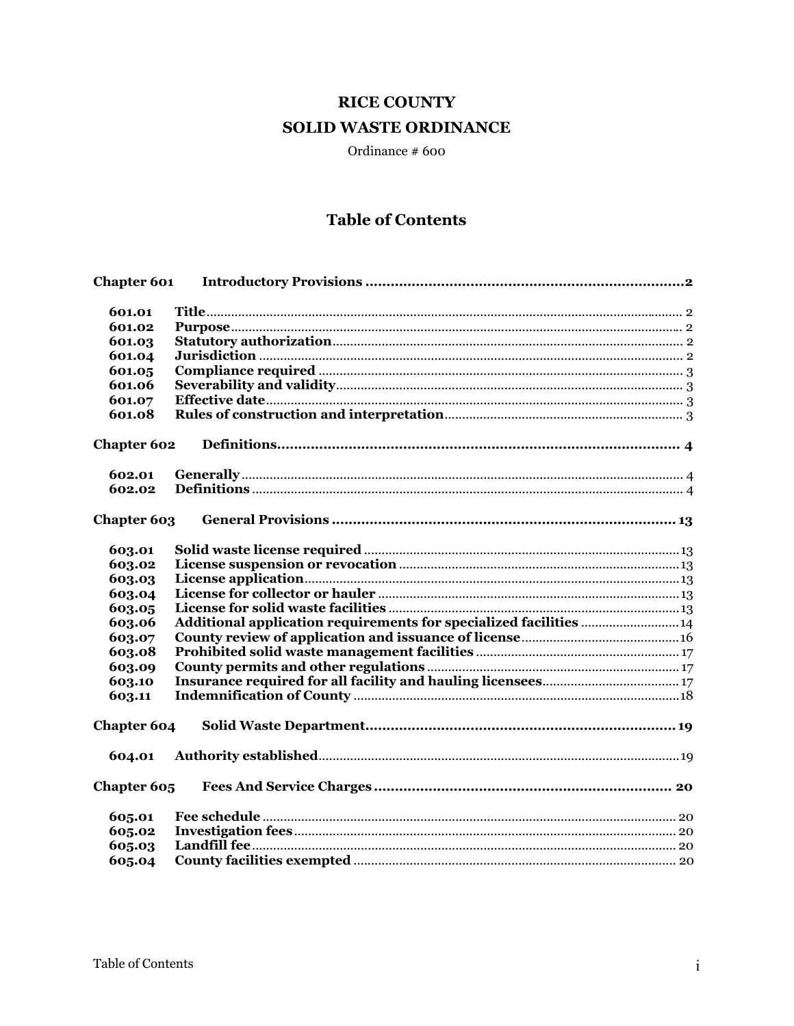# **RICE COUNTY SOLID WASTE ORDINANCE**

Ordinance  $#600$ 

## **Table of Contents**

| <b>Chapter 601</b> |                                                                    |  |
|--------------------|--------------------------------------------------------------------|--|
|                    |                                                                    |  |
| 601.01             |                                                                    |  |
| 601.02             |                                                                    |  |
| 601.03             |                                                                    |  |
| 601.04             |                                                                    |  |
| 601.05             |                                                                    |  |
| 601.06             |                                                                    |  |
| 601.07             |                                                                    |  |
| 601.08             |                                                                    |  |
| <b>Chapter 602</b> |                                                                    |  |
| 602.01             |                                                                    |  |
| 602.02             |                                                                    |  |
|                    |                                                                    |  |
| Chapter 603        |                                                                    |  |
| 603.01             |                                                                    |  |
| 603.02             |                                                                    |  |
| 603.03             |                                                                    |  |
| 603.04             |                                                                    |  |
| 603.05             |                                                                    |  |
| 603.06             | Additional application requirements for specialized facilities  14 |  |
| 603.07             |                                                                    |  |
| 603.08             |                                                                    |  |
| 603.09             |                                                                    |  |
| 603.10             |                                                                    |  |
| 603.11             |                                                                    |  |
|                    |                                                                    |  |
| Chapter 604        |                                                                    |  |
| 604.01             |                                                                    |  |
| Chapter 605        |                                                                    |  |
| 605.01             |                                                                    |  |
| 605.02             |                                                                    |  |
| 605.03             |                                                                    |  |
| 605.04             |                                                                    |  |
|                    |                                                                    |  |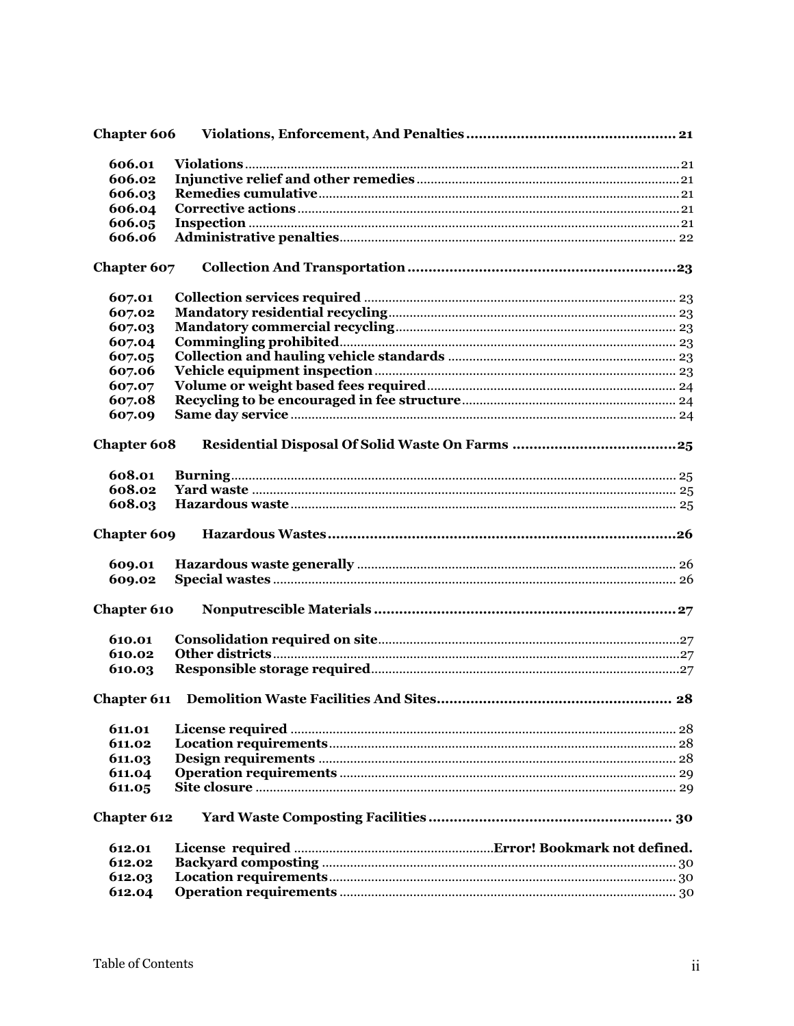|                    | <b>Chapter 606</b> |  |
|--------------------|--------------------|--|
|                    |                    |  |
| 606.01             |                    |  |
| 606.02             |                    |  |
| 606.03             |                    |  |
| 606.04             |                    |  |
| 606.05             |                    |  |
| 606.06             |                    |  |
| Chapter 607        |                    |  |
| 607.01             |                    |  |
| 607.02             |                    |  |
| 607.03             |                    |  |
| 607.04             |                    |  |
| 607.05             |                    |  |
| 607.06             |                    |  |
| 607.07             |                    |  |
| 607.08             |                    |  |
| 607.09             |                    |  |
| <b>Chapter 608</b> |                    |  |
| 608.01             |                    |  |
| 608.02             |                    |  |
| 608.03             |                    |  |
| Chapter 609        |                    |  |
| 609.01             |                    |  |
| 609.02             |                    |  |
|                    |                    |  |
|                    |                    |  |
| <b>Chapter 610</b> |                    |  |
| 610.01             |                    |  |
| 610.02             |                    |  |
| 610.03             |                    |  |
|                    |                    |  |
| 611.01             |                    |  |
| 611.02             |                    |  |
| 611.03             |                    |  |
|                    |                    |  |
| 611.04<br>611.05   |                    |  |
| <b>Chapter 612</b> |                    |  |
| 612.01             |                    |  |
| 612.02             |                    |  |
| 612.03             |                    |  |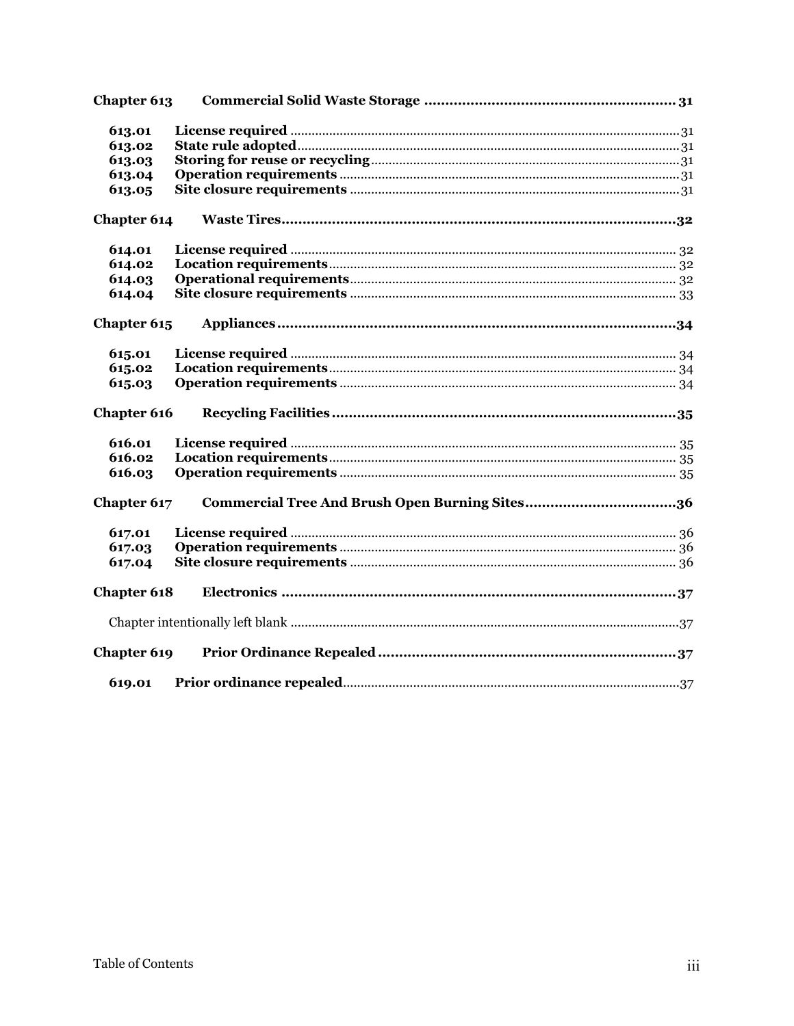| Chapter 613        |  |
|--------------------|--|
| 613.01             |  |
| 613.02             |  |
| 613.03             |  |
| 613.04             |  |
| 613.05             |  |
| Chapter 614        |  |
| 614.01             |  |
| 614.02             |  |
| 614.03             |  |
| 614.04             |  |
| Chapter 615        |  |
| 615.01             |  |
| 615.02             |  |
| 615.03             |  |
| Chapter 616        |  |
| 616.01             |  |
| 616.02             |  |
| 616.03             |  |
| Chapter 617        |  |
| 617.01             |  |
| 617.03             |  |
| 617.04             |  |
| <b>Chapter 618</b> |  |
|                    |  |
| Chapter 619        |  |
| 619.01             |  |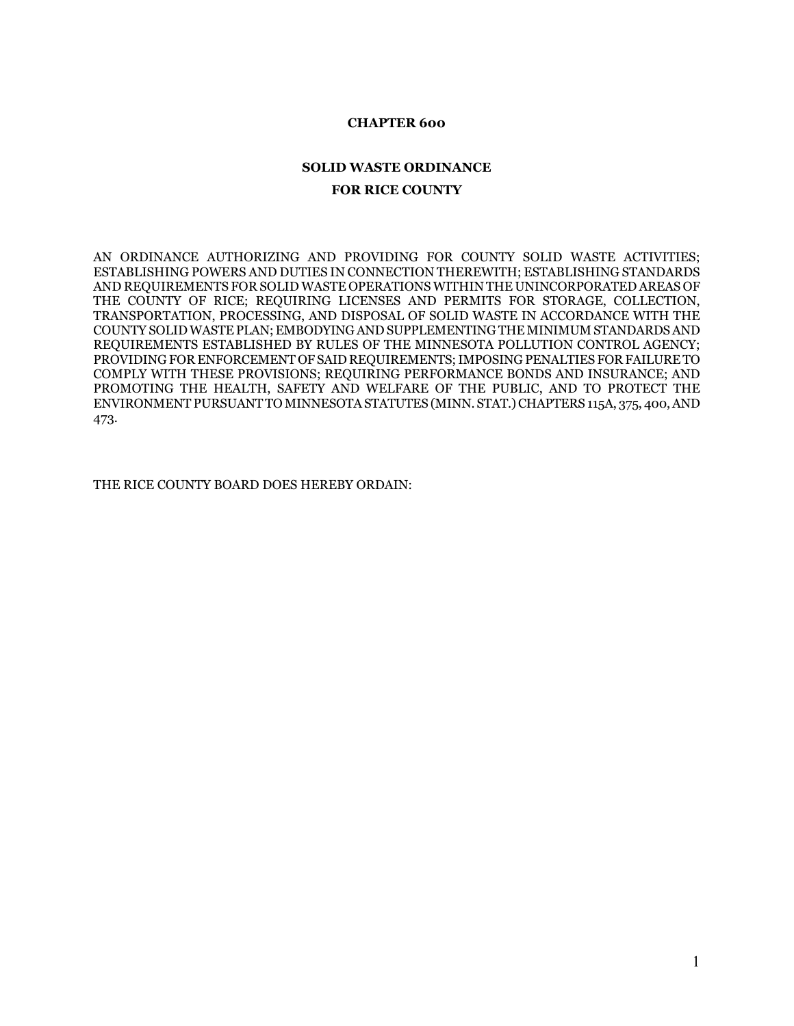#### **CHAPTER 600**

## **SOLID WASTE ORDINANCE FOR RICE COUNTY**

AN ORDINANCE AUTHORIZING AND PROVIDING FOR COUNTY SOLID WASTE ACTIVITIES; ESTABLISHING POWERS AND DUTIES IN CONNECTION THEREWITH; ESTABLISHING STANDARDS AND REQUIREMENTS FOR SOLID WASTE OPERATIONS WITHIN THE UNINCORPORATED AREAS OF THE COUNTY OF RICE; REQUIRING LICENSES AND PERMITS FOR STORAGE, COLLECTION, TRANSPORTATION, PROCESSING, AND DISPOSAL OF SOLID WASTE IN ACCORDANCE WITH THE COUNTY SOLID WASTE PLAN; EMBODYING AND SUPPLEMENTING THE MINIMUM STANDARDS AND REQUIREMENTS ESTABLISHED BY RULES OF THE MINNESOTA POLLUTION CONTROL AGENCY; PROVIDING FOR ENFORCEMENT OF SAID REQUIREMENTS; IMPOSING PENALTIES FOR FAILURE TO COMPLY WITH THESE PROVISIONS; REQUIRING PERFORMANCE BONDS AND INSURANCE; AND PROMOTING THE HEALTH, SAFETY AND WELFARE OF THE PUBLIC, AND TO PROTECT THE ENVIRONMENT PURSUANT TO MINNESOTA STATUTES (MINN. STAT.) CHAPTERS 115A, 375, 400, AND 473.

THE RICE COUNTY BOARD DOES HEREBY ORDAIN: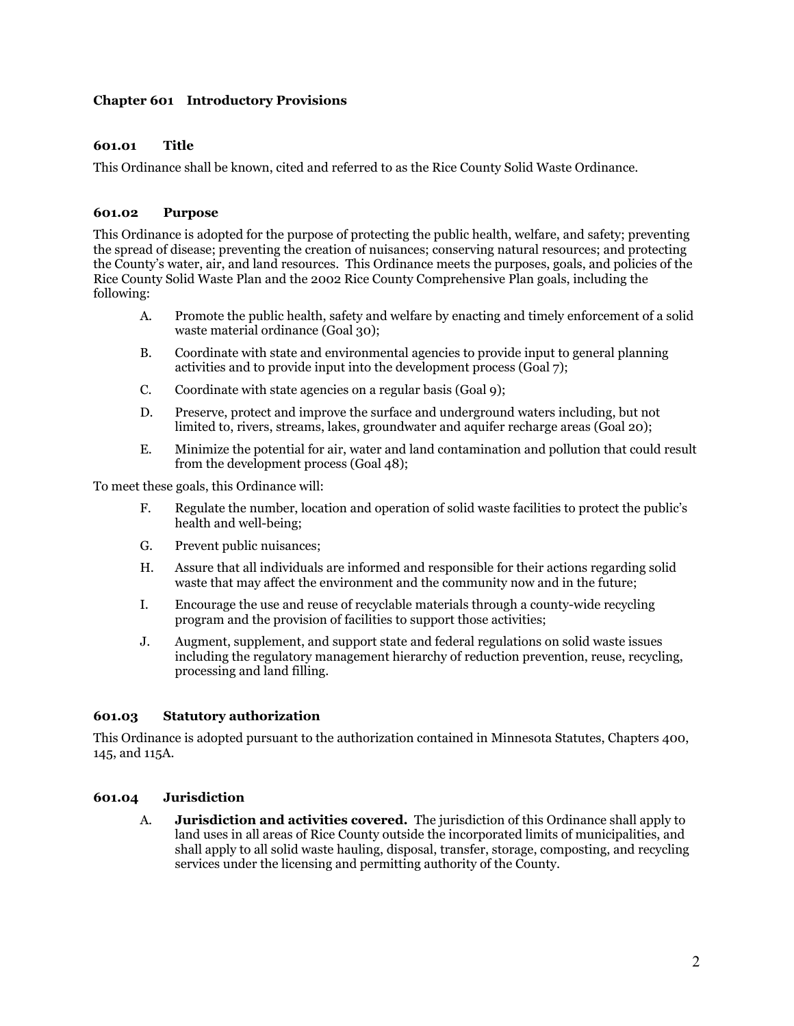## **Chapter 601 Introductory Provisions**

## **601.01 Title**

This Ordinance shall be known, cited and referred to as the Rice County Solid Waste Ordinance.

#### **601.02 Purpose**

This Ordinance is adopted for the purpose of protecting the public health, welfare, and safety; preventing the spread of disease; preventing the creation of nuisances; conserving natural resources; and protecting the County's water, air, and land resources. This Ordinance meets the purposes, goals, and policies of the Rice County Solid Waste Plan and the 2002 Rice County Comprehensive Plan goals, including the following:

- A. Promote the public health, safety and welfare by enacting and timely enforcement of a solid waste material ordinance (Goal 30);
- B. Coordinate with state and environmental agencies to provide input to general planning activities and to provide input into the development process (Goal 7);
- C. Coordinate with state agencies on a regular basis (Goal 9);
- D. Preserve, protect and improve the surface and underground waters including, but not limited to, rivers, streams, lakes, groundwater and aquifer recharge areas (Goal 20);
- E. Minimize the potential for air, water and land contamination and pollution that could result from the development process (Goal 48);

To meet these goals, this Ordinance will:

- F. Regulate the number, location and operation of solid waste facilities to protect the public's health and well-being;
- G. Prevent public nuisances;
- H. Assure that all individuals are informed and responsible for their actions regarding solid waste that may affect the environment and the community now and in the future;
- I. Encourage the use and reuse of recyclable materials through a county-wide recycling program and the provision of facilities to support those activities;
- J. Augment, supplement, and support state and federal regulations on solid waste issues including the regulatory management hierarchy of reduction prevention, reuse, recycling, processing and land filling.

#### **601.03 Statutory authorization**

This Ordinance is adopted pursuant to the authorization contained in Minnesota Statutes, Chapters 400, 145, and 115A.

## **601.04 Jurisdiction**

A. **Jurisdiction and activities covered.** The jurisdiction of this Ordinance shall apply to land uses in all areas of Rice County outside the incorporated limits of municipalities, and shall apply to all solid waste hauling, disposal, transfer, storage, composting, and recycling services under the licensing and permitting authority of the County.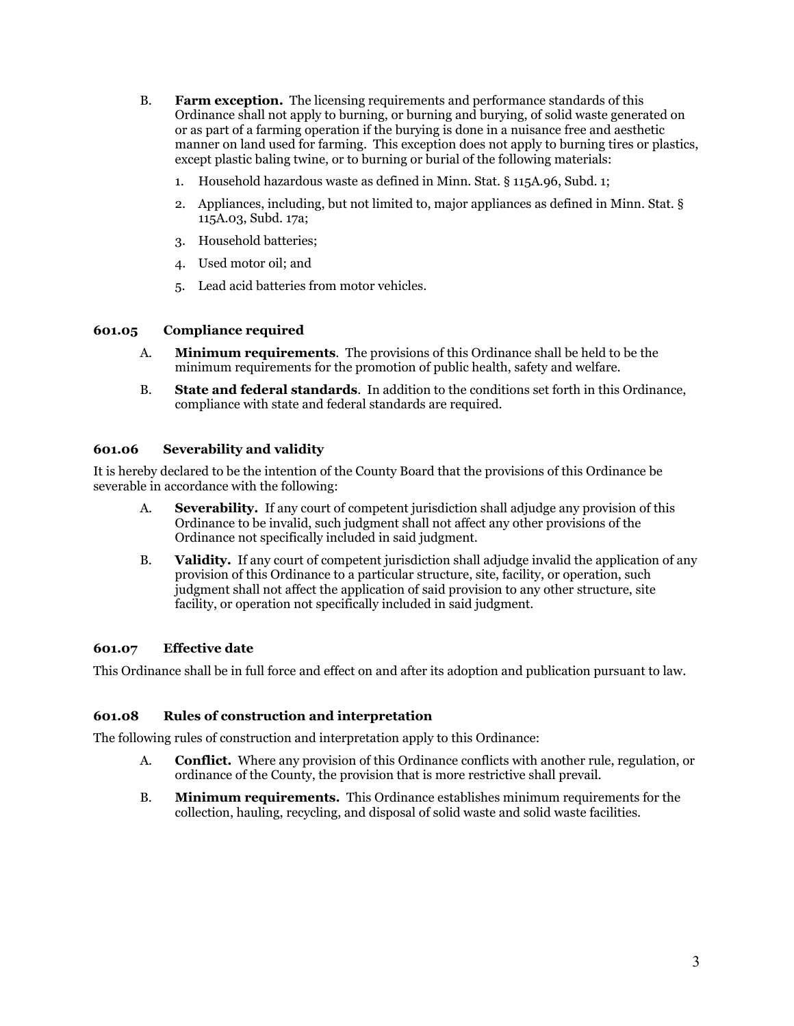- B. **Farm exception.** The licensing requirements and performance standards of this Ordinance shall not apply to burning, or burning and burying, of solid waste generated on or as part of a farming operation if the burying is done in a nuisance free and aesthetic manner on land used for farming. This exception does not apply to burning tires or plastics, except plastic baling twine, or to burning or burial of the following materials:
	- 1. Household hazardous waste as defined in Minn. Stat. § 115A.96, Subd. 1;
	- 2. Appliances, including, but not limited to, major appliances as defined in Minn. Stat. § 115A.03, Subd. 17a;
	- 3. Household batteries;
	- 4. Used motor oil; and
	- 5. Lead acid batteries from motor vehicles.

## **601.05 Compliance required**

- A. **Minimum requirements**. The provisions of this Ordinance shall be held to be the minimum requirements for the promotion of public health, safety and welfare.
- B. **State and federal standards**. In addition to the conditions set forth in this Ordinance, compliance with state and federal standards are required.

## **601.06 Severability and validity**

It is hereby declared to be the intention of the County Board that the provisions of this Ordinance be severable in accordance with the following:

- A. **Severability.** If any court of competent jurisdiction shall adjudge any provision of this Ordinance to be invalid, such judgment shall not affect any other provisions of the Ordinance not specifically included in said judgment.
- B. **Validity.** If any court of competent jurisdiction shall adjudge invalid the application of any provision of this Ordinance to a particular structure, site, facility, or operation, such judgment shall not affect the application of said provision to any other structure, site facility, or operation not specifically included in said judgment.

## **601.07 Effective date**

This Ordinance shall be in full force and effect on and after its adoption and publication pursuant to law.

## **601.08 Rules of construction and interpretation**

The following rules of construction and interpretation apply to this Ordinance:

- A. **Conflict.** Where any provision of this Ordinance conflicts with another rule, regulation, or ordinance of the County, the provision that is more restrictive shall prevail.
- B. **Minimum requirements.** This Ordinance establishes minimum requirements for the collection, hauling, recycling, and disposal of solid waste and solid waste facilities.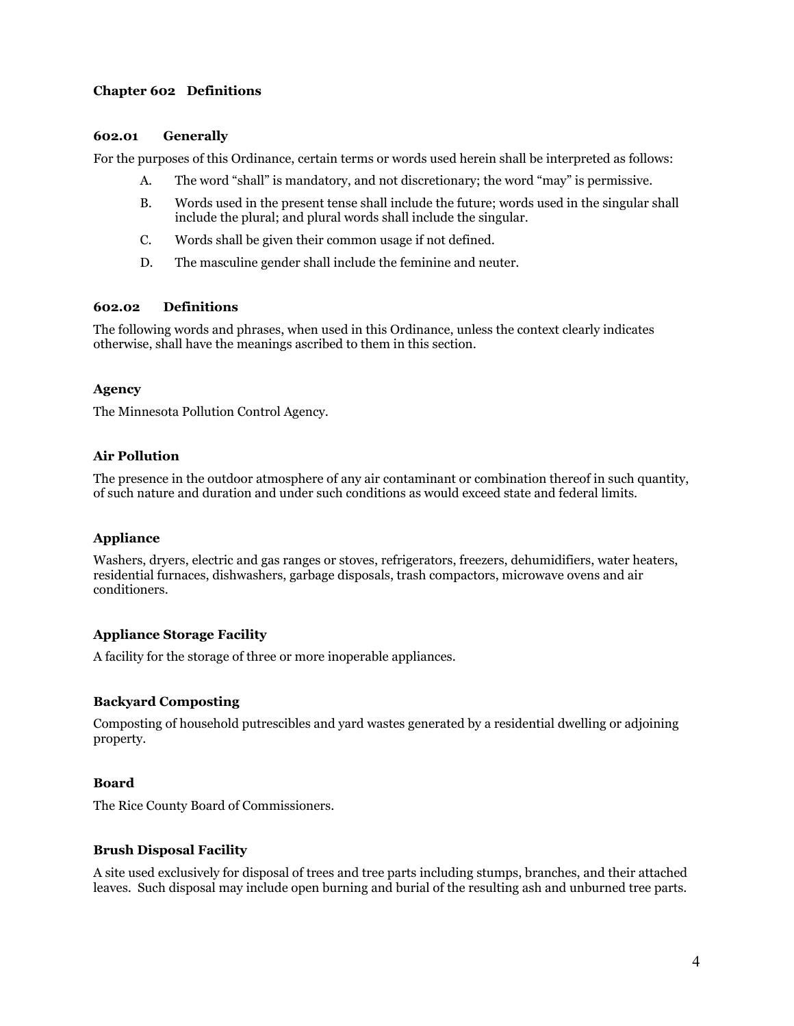## **Chapter 602 Definitions**

#### **602.01 Generally**

For the purposes of this Ordinance, certain terms or words used herein shall be interpreted as follows:

- A. The word "shall" is mandatory, and not discretionary; the word "may" is permissive.
- B. Words used in the present tense shall include the future; words used in the singular shall include the plural; and plural words shall include the singular.
- C. Words shall be given their common usage if not defined.
- D. The masculine gender shall include the feminine and neuter.

## **602.02 Definitions**

The following words and phrases, when used in this Ordinance, unless the context clearly indicates otherwise, shall have the meanings ascribed to them in this section.

#### **Agency**

The Minnesota Pollution Control Agency.

## **Air Pollution**

The presence in the outdoor atmosphere of any air contaminant or combination thereof in such quantity, of such nature and duration and under such conditions as would exceed state and federal limits.

## **Appliance**

Washers, dryers, electric and gas ranges or stoves, refrigerators, freezers, dehumidifiers, water heaters, residential furnaces, dishwashers, garbage disposals, trash compactors, microwave ovens and air conditioners.

## **Appliance Storage Facility**

A facility for the storage of three or more inoperable appliances.

## **Backyard Composting**

Composting of household putrescibles and yard wastes generated by a residential dwelling or adjoining property.

## **Board**

The Rice County Board of Commissioners.

## **Brush Disposal Facility**

A site used exclusively for disposal of trees and tree parts including stumps, branches, and their attached leaves. Such disposal may include open burning and burial of the resulting ash and unburned tree parts.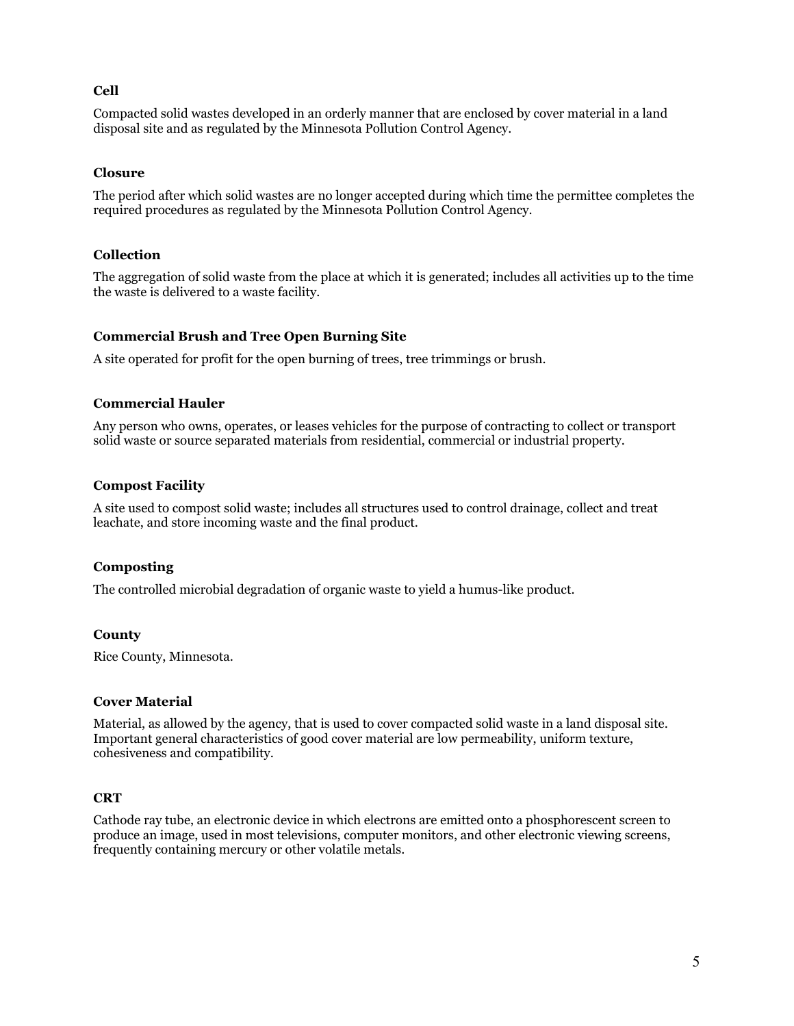## **Cell**

Compacted solid wastes developed in an orderly manner that are enclosed by cover material in a land disposal site and as regulated by the Minnesota Pollution Control Agency.

#### **Closure**

The period after which solid wastes are no longer accepted during which time the permittee completes the required procedures as regulated by the Minnesota Pollution Control Agency.

#### **Collection**

The aggregation of solid waste from the place at which it is generated; includes all activities up to the time the waste is delivered to a waste facility.

#### **Commercial Brush and Tree Open Burning Site**

A site operated for profit for the open burning of trees, tree trimmings or brush.

#### **Commercial Hauler**

Any person who owns, operates, or leases vehicles for the purpose of contracting to collect or transport solid waste or source separated materials from residential, commercial or industrial property.

#### **Compost Facility**

A site used to compost solid waste; includes all structures used to control drainage, collect and treat leachate, and store incoming waste and the final product.

#### **Composting**

The controlled microbial degradation of organic waste to yield a humus-like product.

#### **County**

Rice County, Minnesota.

#### **Cover Material**

Material, as allowed by the agency, that is used to cover compacted solid waste in a land disposal site. Important general characteristics of good cover material are low permeability, uniform texture, cohesiveness and compatibility.

## **CRT**

Cathode ray tube, an electronic device in which electrons are emitted onto a phosphorescent screen to produce an image, used in most televisions, computer monitors, and other electronic viewing screens, frequently containing mercury or other volatile metals.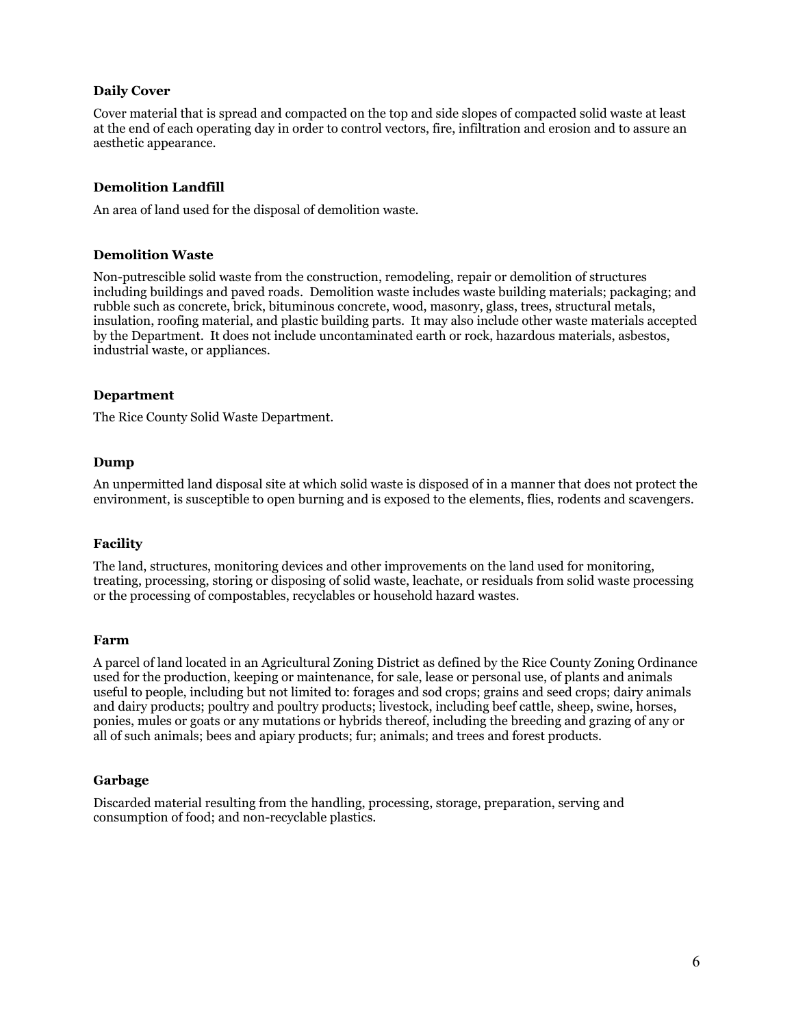#### **Daily Cover**

Cover material that is spread and compacted on the top and side slopes of compacted solid waste at least at the end of each operating day in order to control vectors, fire, infiltration and erosion and to assure an aesthetic appearance.

#### **Demolition Landfill**

An area of land used for the disposal of demolition waste.

#### **Demolition Waste**

Non-putrescible solid waste from the construction, remodeling, repair or demolition of structures including buildings and paved roads. Demolition waste includes waste building materials; packaging; and rubble such as concrete, brick, bituminous concrete, wood, masonry, glass, trees, structural metals, insulation, roofing material, and plastic building parts. It may also include other waste materials accepted by the Department. It does not include uncontaminated earth or rock, hazardous materials, asbestos, industrial waste, or appliances.

#### **Department**

The Rice County Solid Waste Department.

#### **Dump**

An unpermitted land disposal site at which solid waste is disposed of in a manner that does not protect the environment, is susceptible to open burning and is exposed to the elements, flies, rodents and scavengers.

#### **Facility**

The land, structures, monitoring devices and other improvements on the land used for monitoring, treating, processing, storing or disposing of solid waste, leachate, or residuals from solid waste processing or the processing of compostables, recyclables or household hazard wastes.

#### **Farm**

A parcel of land located in an Agricultural Zoning District as defined by the Rice County Zoning Ordinance used for the production, keeping or maintenance, for sale, lease or personal use, of plants and animals useful to people, including but not limited to: forages and sod crops; grains and seed crops; dairy animals and dairy products; poultry and poultry products; livestock, including beef cattle, sheep, swine, horses, ponies, mules or goats or any mutations or hybrids thereof, including the breeding and grazing of any or all of such animals; bees and apiary products; fur; animals; and trees and forest products.

#### **Garbage**

Discarded material resulting from the handling, processing, storage, preparation, serving and consumption of food; and non-recyclable plastics.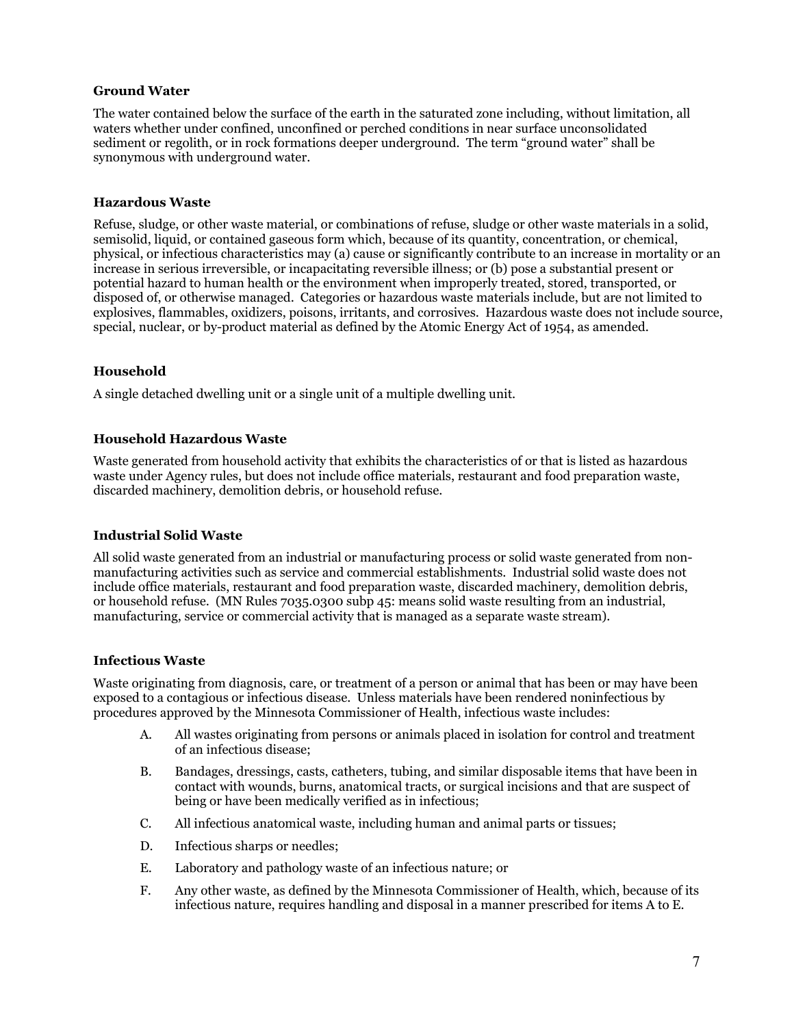#### **Ground Water**

The water contained below the surface of the earth in the saturated zone including, without limitation, all waters whether under confined, unconfined or perched conditions in near surface unconsolidated sediment or regolith, or in rock formations deeper underground. The term "ground water" shall be synonymous with underground water.

#### **Hazardous Waste**

Refuse, sludge, or other waste material, or combinations of refuse, sludge or other waste materials in a solid, semisolid, liquid, or contained gaseous form which, because of its quantity, concentration, or chemical, physical, or infectious characteristics may (a) cause or significantly contribute to an increase in mortality or an increase in serious irreversible, or incapacitating reversible illness; or (b) pose a substantial present or potential hazard to human health or the environment when improperly treated, stored, transported, or disposed of, or otherwise managed. Categories or hazardous waste materials include, but are not limited to explosives, flammables, oxidizers, poisons, irritants, and corrosives. Hazardous waste does not include source, special, nuclear, or by-product material as defined by the Atomic Energy Act of 1954, as amended.

#### **Household**

A single detached dwelling unit or a single unit of a multiple dwelling unit.

#### **Household Hazardous Waste**

Waste generated from household activity that exhibits the characteristics of or that is listed as hazardous waste under Agency rules, but does not include office materials, restaurant and food preparation waste, discarded machinery, demolition debris, or household refuse.

#### **Industrial Solid Waste**

All solid waste generated from an industrial or manufacturing process or solid waste generated from nonmanufacturing activities such as service and commercial establishments. Industrial solid waste does not include office materials, restaurant and food preparation waste, discarded machinery, demolition debris, or household refuse. (MN Rules 7035.0300 subp 45: means solid waste resulting from an industrial, manufacturing, service or commercial activity that is managed as a separate waste stream).

#### **Infectious Waste**

Waste originating from diagnosis, care, or treatment of a person or animal that has been or may have been exposed to a contagious or infectious disease. Unless materials have been rendered noninfectious by procedures approved by the Minnesota Commissioner of Health, infectious waste includes:

- A. All wastes originating from persons or animals placed in isolation for control and treatment of an infectious disease;
- B. Bandages, dressings, casts, catheters, tubing, and similar disposable items that have been in contact with wounds, burns, anatomical tracts, or surgical incisions and that are suspect of being or have been medically verified as in infectious;
- C. All infectious anatomical waste, including human and animal parts or tissues;
- D. Infectious sharps or needles;
- E. Laboratory and pathology waste of an infectious nature; or
- F. Any other waste, as defined by the Minnesota Commissioner of Health, which, because of its infectious nature, requires handling and disposal in a manner prescribed for items A to E.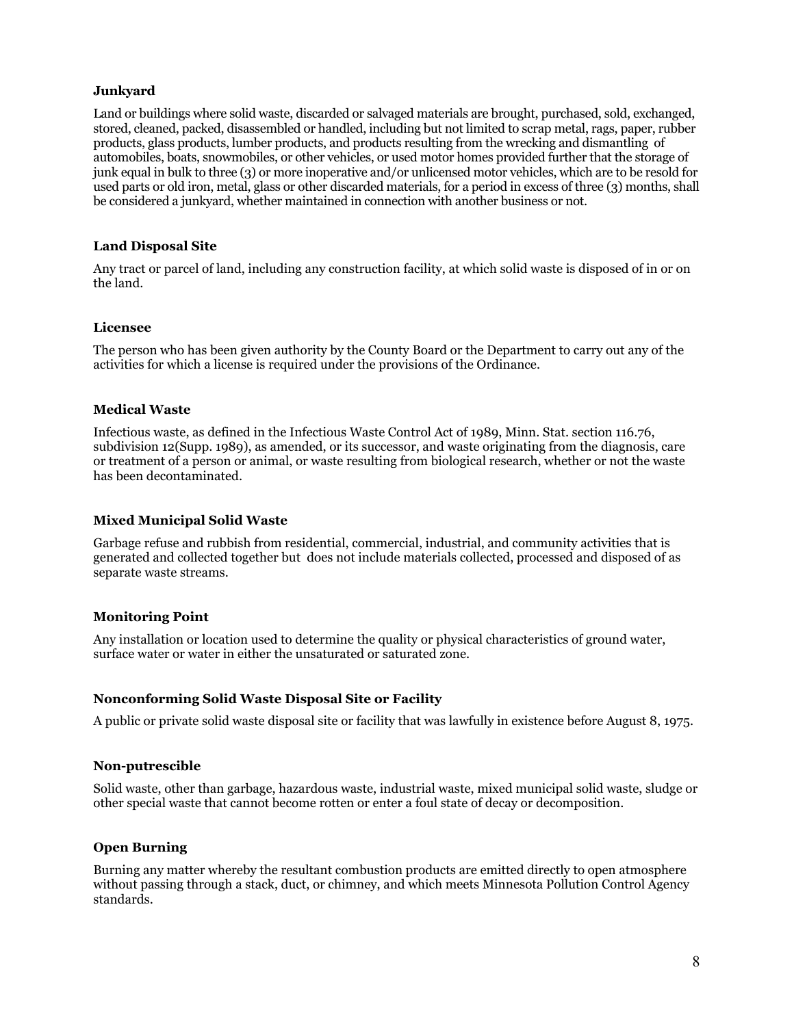#### **Junkyard**

Land or buildings where solid waste, discarded or salvaged materials are brought, purchased, sold, exchanged, stored, cleaned, packed, disassembled or handled, including but not limited to scrap metal, rags, paper, rubber products, glass products, lumber products, and products resulting from the wrecking and dismantling of automobiles, boats, snowmobiles, or other vehicles, or used motor homes provided further that the storage of junk equal in bulk to three (3) or more inoperative and/or unlicensed motor vehicles, which are to be resold for used parts or old iron, metal, glass or other discarded materials, for a period in excess of three (3) months, shall be considered a junkyard, whether maintained in connection with another business or not.

#### **Land Disposal Site**

Any tract or parcel of land, including any construction facility, at which solid waste is disposed of in or on the land.

#### **Licensee**

The person who has been given authority by the County Board or the Department to carry out any of the activities for which a license is required under the provisions of the Ordinance.

#### **Medical Waste**

Infectious waste, as defined in the Infectious Waste Control Act of 1989, Minn. Stat. section 116.76, subdivision 12(Supp. 1989), as amended, or its successor, and waste originating from the diagnosis, care or treatment of a person or animal, or waste resulting from biological research, whether or not the waste has been decontaminated.

#### **Mixed Municipal Solid Waste**

Garbage refuse and rubbish from residential, commercial, industrial, and community activities that is generated and collected together but does not include materials collected, processed and disposed of as separate waste streams.

#### **Monitoring Point**

Any installation or location used to determine the quality or physical characteristics of ground water, surface water or water in either the unsaturated or saturated zone.

#### **Nonconforming Solid Waste Disposal Site or Facility**

A public or private solid waste disposal site or facility that was lawfully in existence before August 8, 1975.

#### **Non-putrescible**

Solid waste, other than garbage, hazardous waste, industrial waste, mixed municipal solid waste, sludge or other special waste that cannot become rotten or enter a foul state of decay or decomposition.

#### **Open Burning**

Burning any matter whereby the resultant combustion products are emitted directly to open atmosphere without passing through a stack, duct, or chimney, and which meets Minnesota Pollution Control Agency standards.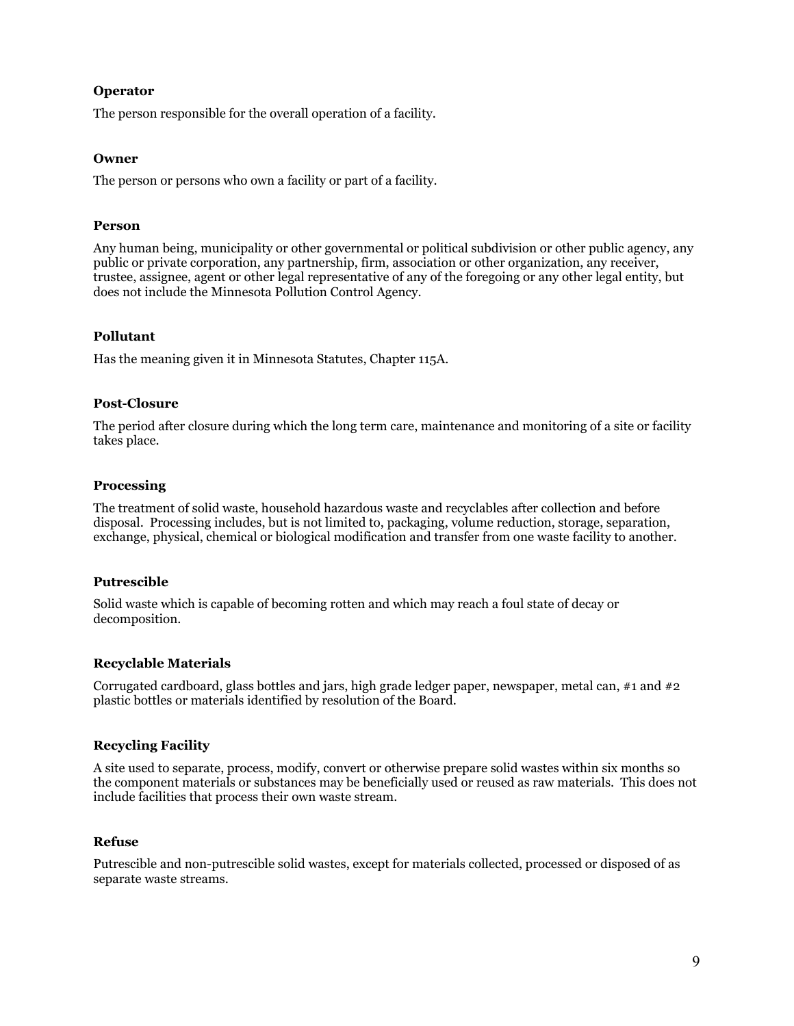## **Operator**

The person responsible for the overall operation of a facility.

#### **Owner**

The person or persons who own a facility or part of a facility.

#### **Person**

Any human being, municipality or other governmental or political subdivision or other public agency, any public or private corporation, any partnership, firm, association or other organization, any receiver, trustee, assignee, agent or other legal representative of any of the foregoing or any other legal entity, but does not include the Minnesota Pollution Control Agency.

#### **Pollutant**

Has the meaning given it in Minnesota Statutes, Chapter 115A.

#### **Post-Closure**

The period after closure during which the long term care, maintenance and monitoring of a site or facility takes place.

#### **Processing**

The treatment of solid waste, household hazardous waste and recyclables after collection and before disposal. Processing includes, but is not limited to, packaging, volume reduction, storage, separation, exchange, physical, chemical or biological modification and transfer from one waste facility to another.

#### **Putrescible**

Solid waste which is capable of becoming rotten and which may reach a foul state of decay or decomposition.

#### **Recyclable Materials**

Corrugated cardboard, glass bottles and jars, high grade ledger paper, newspaper, metal can, #1 and #2 plastic bottles or materials identified by resolution of the Board.

## **Recycling Facility**

A site used to separate, process, modify, convert or otherwise prepare solid wastes within six months so the component materials or substances may be beneficially used or reused as raw materials. This does not include facilities that process their own waste stream.

#### **Refuse**

Putrescible and non-putrescible solid wastes, except for materials collected, processed or disposed of as separate waste streams.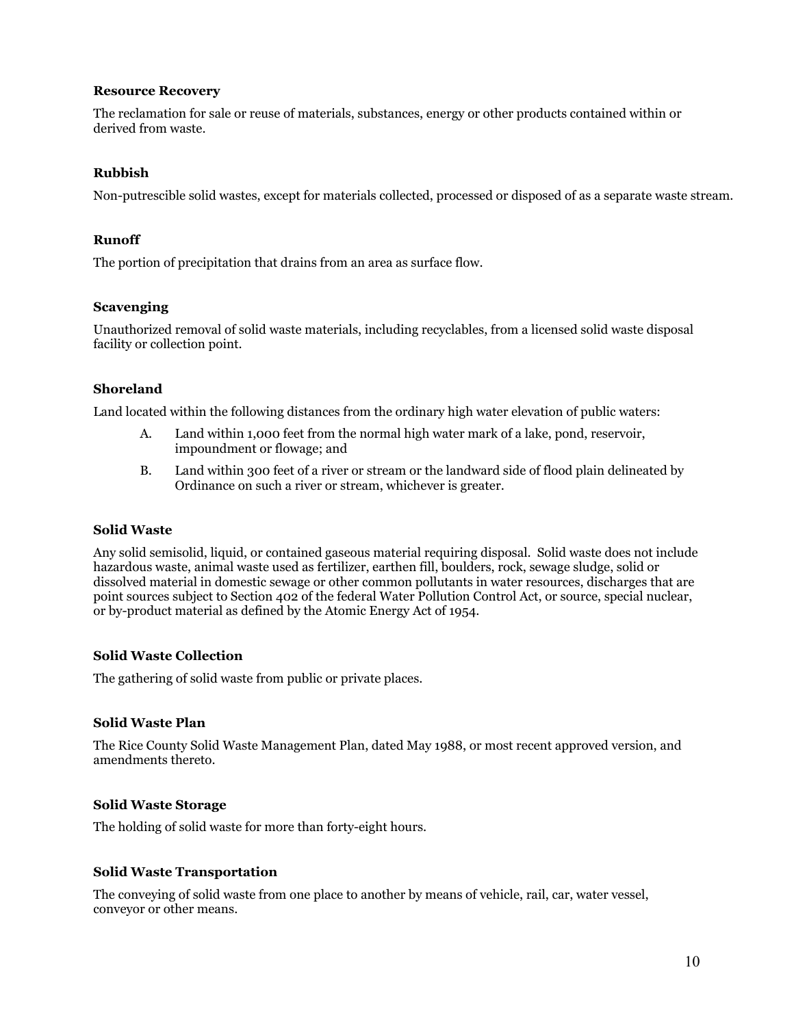#### **Resource Recovery**

The reclamation for sale or reuse of materials, substances, energy or other products contained within or derived from waste.

#### **Rubbish**

Non-putrescible solid wastes, except for materials collected, processed or disposed of as a separate waste stream.

#### **Runoff**

The portion of precipitation that drains from an area as surface flow.

#### **Scavenging**

Unauthorized removal of solid waste materials, including recyclables, from a licensed solid waste disposal facility or collection point.

## **Shoreland**

Land located within the following distances from the ordinary high water elevation of public waters:

- A. Land within 1,000 feet from the normal high water mark of a lake, pond, reservoir, impoundment or flowage; and
- B. Land within 300 feet of a river or stream or the landward side of flood plain delineated by Ordinance on such a river or stream, whichever is greater.

#### **Solid Waste**

Any solid semisolid, liquid, or contained gaseous material requiring disposal. Solid waste does not include hazardous waste, animal waste used as fertilizer, earthen fill, boulders, rock, sewage sludge, solid or dissolved material in domestic sewage or other common pollutants in water resources, discharges that are point sources subject to Section 402 of the federal Water Pollution Control Act, or source, special nuclear, or by-product material as defined by the Atomic Energy Act of 1954.

## **Solid Waste Collection**

The gathering of solid waste from public or private places.

#### **Solid Waste Plan**

The Rice County Solid Waste Management Plan, dated May 1988, or most recent approved version, and amendments thereto.

#### **Solid Waste Storage**

The holding of solid waste for more than forty-eight hours.

#### **Solid Waste Transportation**

The conveying of solid waste from one place to another by means of vehicle, rail, car, water vessel, conveyor or other means.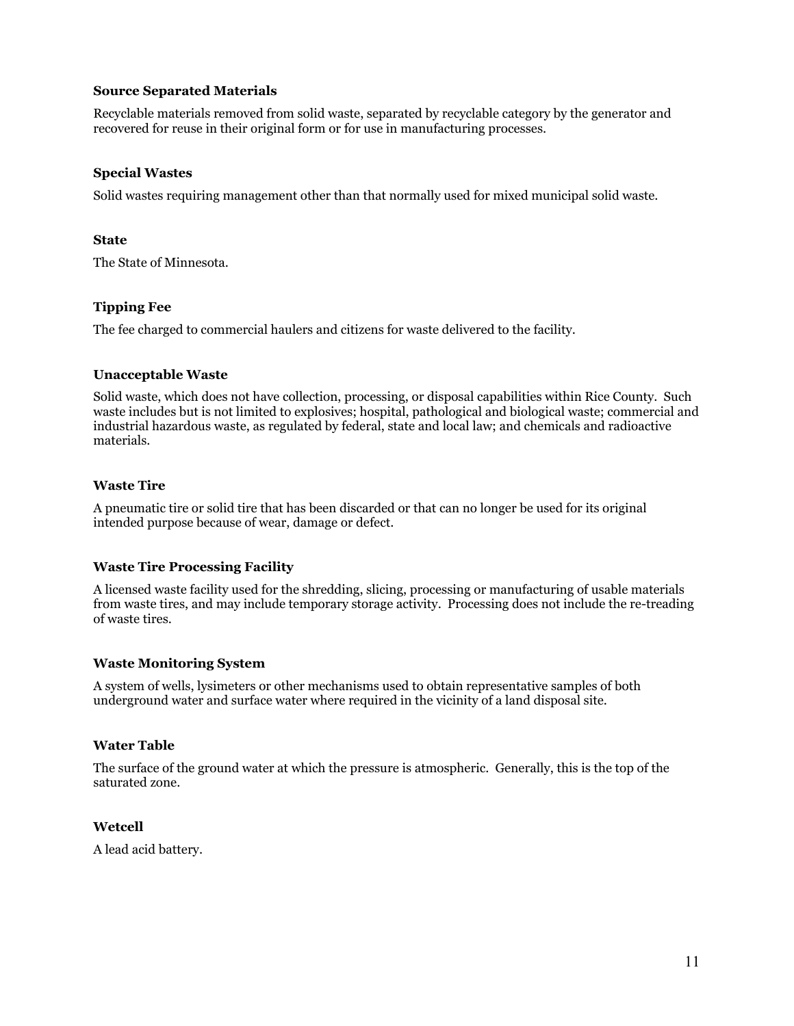#### **Source Separated Materials**

Recyclable materials removed from solid waste, separated by recyclable category by the generator and recovered for reuse in their original form or for use in manufacturing processes.

#### **Special Wastes**

Solid wastes requiring management other than that normally used for mixed municipal solid waste.

#### **State**

The State of Minnesota.

## **Tipping Fee**

The fee charged to commercial haulers and citizens for waste delivered to the facility.

## **Unacceptable Waste**

Solid waste, which does not have collection, processing, or disposal capabilities within Rice County. Such waste includes but is not limited to explosives; hospital, pathological and biological waste; commercial and industrial hazardous waste, as regulated by federal, state and local law; and chemicals and radioactive materials.

## **Waste Tire**

A pneumatic tire or solid tire that has been discarded or that can no longer be used for its original intended purpose because of wear, damage or defect.

## **Waste Tire Processing Facility**

A licensed waste facility used for the shredding, slicing, processing or manufacturing of usable materials from waste tires, and may include temporary storage activity. Processing does not include the re-treading of waste tires.

## **Waste Monitoring System**

A system of wells, lysimeters or other mechanisms used to obtain representative samples of both underground water and surface water where required in the vicinity of a land disposal site.

## **Water Table**

The surface of the ground water at which the pressure is atmospheric. Generally, this is the top of the saturated zone.

## **Wetcell**

A lead acid battery.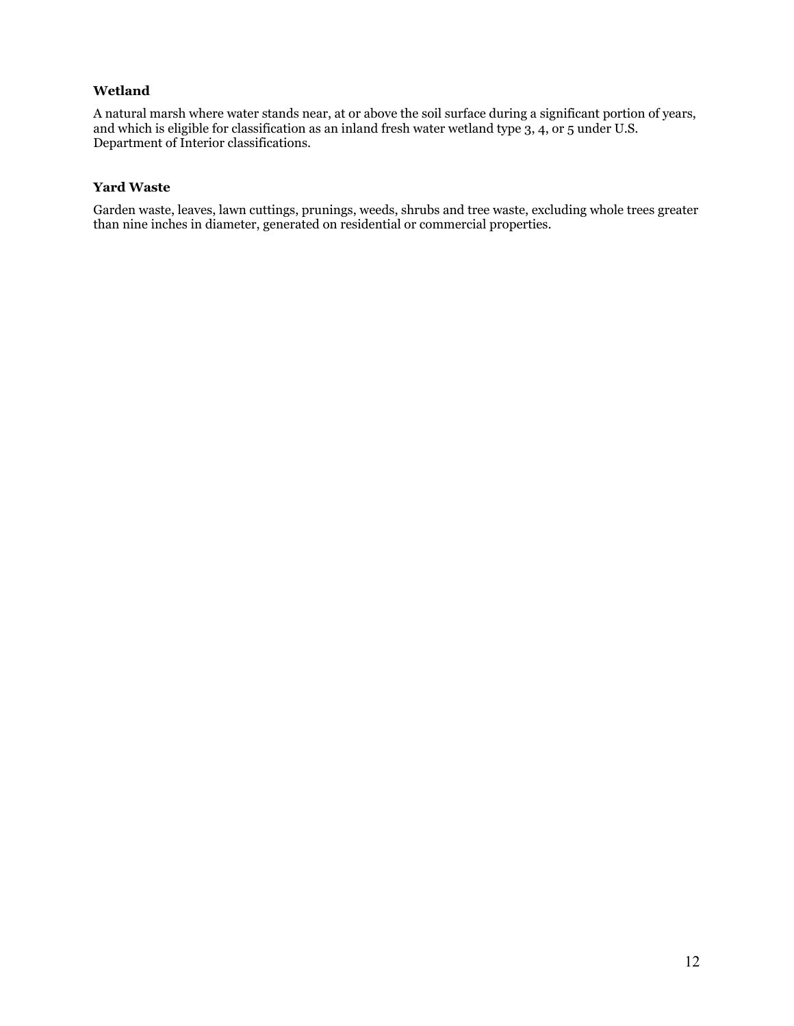## **Wetland**

A natural marsh where water stands near, at or above the soil surface during a significant portion of years, and which is eligible for classification as an inland fresh water wetland type 3, 4, or 5 under U.S. Department of Interior classifications.

## **Yard Waste**

Garden waste, leaves, lawn cuttings, prunings, weeds, shrubs and tree waste, excluding whole trees greater than nine inches in diameter, generated on residential or commercial properties.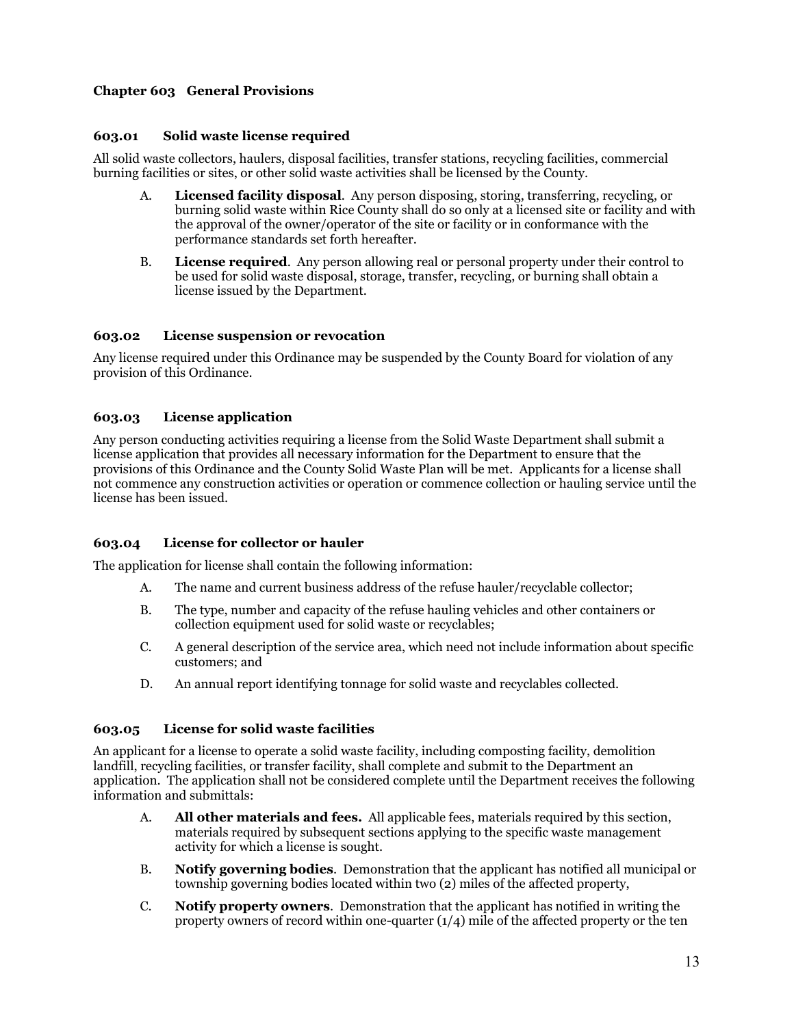## **Chapter 603 General Provisions**

#### **603.01 Solid waste license required**

All solid waste collectors, haulers, disposal facilities, transfer stations, recycling facilities, commercial burning facilities or sites, or other solid waste activities shall be licensed by the County.

- A. **Licensed facility disposal**. Any person disposing, storing, transferring, recycling, or burning solid waste within Rice County shall do so only at a licensed site or facility and with the approval of the owner/operator of the site or facility or in conformance with the performance standards set forth hereafter.
- B. **License required**. Any person allowing real or personal property under their control to be used for solid waste disposal, storage, transfer, recycling, or burning shall obtain a license issued by the Department.

#### **603.02 License suspension or revocation**

Any license required under this Ordinance may be suspended by the County Board for violation of any provision of this Ordinance.

#### **603.03 License application**

Any person conducting activities requiring a license from the Solid Waste Department shall submit a license application that provides all necessary information for the Department to ensure that the provisions of this Ordinance and the County Solid Waste Plan will be met. Applicants for a license shall not commence any construction activities or operation or commence collection or hauling service until the license has been issued.

#### **603.04 License for collector or hauler**

The application for license shall contain the following information:

- A. The name and current business address of the refuse hauler/recyclable collector;
- B. The type, number and capacity of the refuse hauling vehicles and other containers or collection equipment used for solid waste or recyclables;
- C. A general description of the service area, which need not include information about specific customers; and
- D. An annual report identifying tonnage for solid waste and recyclables collected.

#### **603.05 License for solid waste facilities**

An applicant for a license to operate a solid waste facility, including composting facility, demolition landfill, recycling facilities, or transfer facility, shall complete and submit to the Department an application. The application shall not be considered complete until the Department receives the following information and submittals:

- A. **All other materials and fees.** All applicable fees, materials required by this section, materials required by subsequent sections applying to the specific waste management activity for which a license is sought.
- B. **Notify governing bodies**. Demonstration that the applicant has notified all municipal or township governing bodies located within two (2) miles of the affected property,
- C. **Notify property owners**. Demonstration that the applicant has notified in writing the property owners of record within one-quarter  $(1/4)$  mile of the affected property or the ten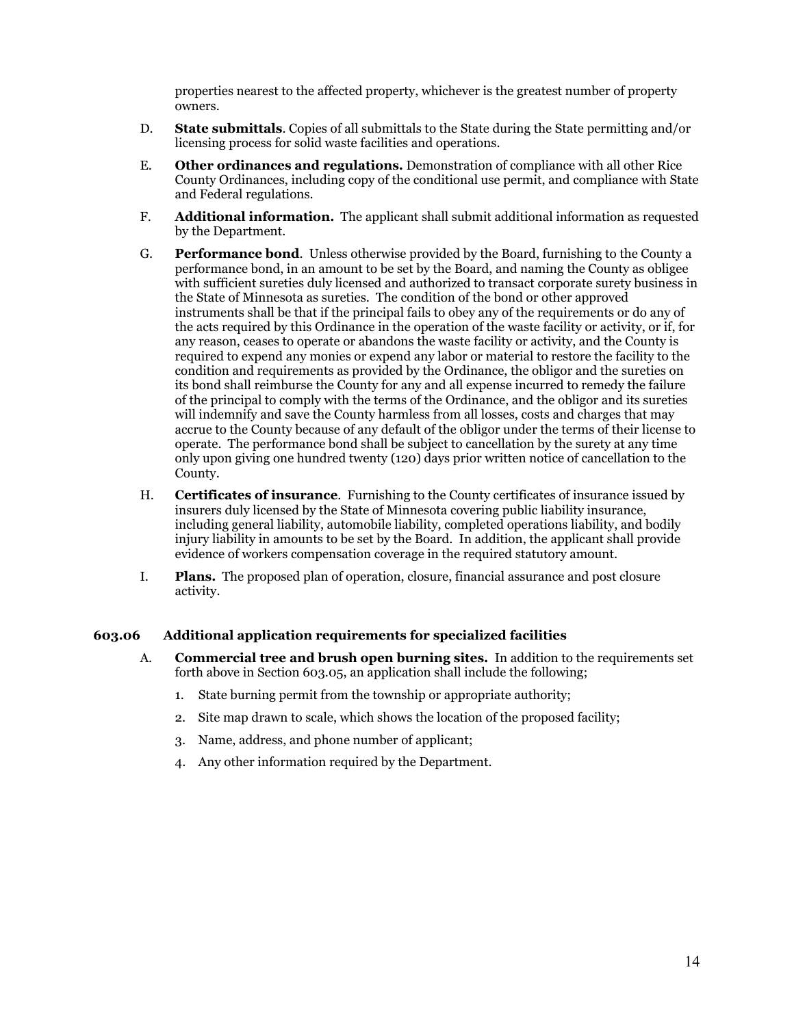properties nearest to the affected property, whichever is the greatest number of property owners.

- D. **State submittals**. Copies of all submittals to the State during the State permitting and/or licensing process for solid waste facilities and operations.
- E. **Other ordinances and regulations.** Demonstration of compliance with all other Rice County Ordinances, including copy of the conditional use permit, and compliance with State and Federal regulations.
- F. **Additional information.** The applicant shall submit additional information as requested by the Department.
- G. **Performance bond**. Unless otherwise provided by the Board, furnishing to the County a performance bond, in an amount to be set by the Board, and naming the County as obligee with sufficient sureties duly licensed and authorized to transact corporate surety business in the State of Minnesota as sureties. The condition of the bond or other approved instruments shall be that if the principal fails to obey any of the requirements or do any of the acts required by this Ordinance in the operation of the waste facility or activity, or if, for any reason, ceases to operate or abandons the waste facility or activity, and the County is required to expend any monies or expend any labor or material to restore the facility to the condition and requirements as provided by the Ordinance, the obligor and the sureties on its bond shall reimburse the County for any and all expense incurred to remedy the failure of the principal to comply with the terms of the Ordinance, and the obligor and its sureties will indemnify and save the County harmless from all losses, costs and charges that may accrue to the County because of any default of the obligor under the terms of their license to operate. The performance bond shall be subject to cancellation by the surety at any time only upon giving one hundred twenty (120) days prior written notice of cancellation to the County.
- H. **Certificates of insurance**. Furnishing to the County certificates of insurance issued by insurers duly licensed by the State of Minnesota covering public liability insurance, including general liability, automobile liability, completed operations liability, and bodily injury liability in amounts to be set by the Board. In addition, the applicant shall provide evidence of workers compensation coverage in the required statutory amount.
- I. **Plans.** The proposed plan of operation, closure, financial assurance and post closure activity.

#### **603.06 Additional application requirements for specialized facilities**

- A. **Commercial tree and brush open burning sites.** In addition to the requirements set forth above in Section 603.05, an application shall include the following;
	- 1. State burning permit from the township or appropriate authority;
	- 2. Site map drawn to scale, which shows the location of the proposed facility;
	- 3. Name, address, and phone number of applicant;
	- 4. Any other information required by the Department.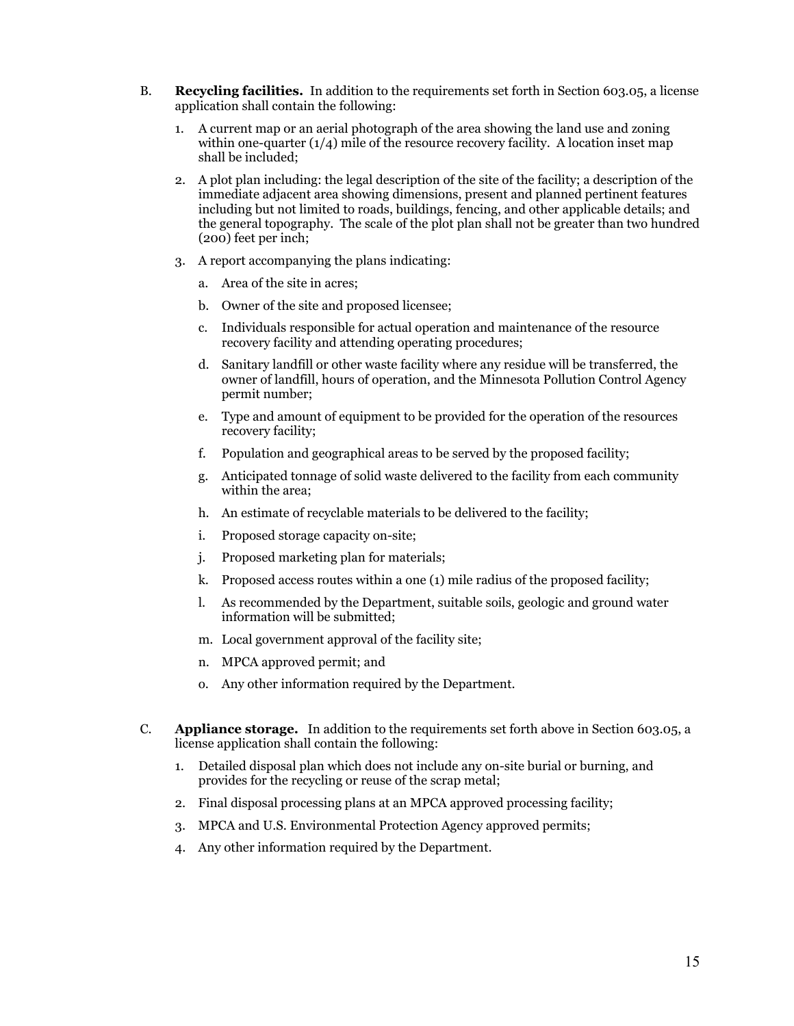- B. **Recycling facilities.** In addition to the requirements set forth in Section 603.05, a license application shall contain the following:
	- 1. A current map or an aerial photograph of the area showing the land use and zoning within one-quarter  $(1/4)$  mile of the resource recovery facility. A location inset map shall be included;
	- 2. A plot plan including: the legal description of the site of the facility; a description of the immediate adjacent area showing dimensions, present and planned pertinent features including but not limited to roads, buildings, fencing, and other applicable details; and the general topography. The scale of the plot plan shall not be greater than two hundred (200) feet per inch;
	- 3. A report accompanying the plans indicating:
		- a. Area of the site in acres;
		- b. Owner of the site and proposed licensee;
		- c. Individuals responsible for actual operation and maintenance of the resource recovery facility and attending operating procedures;
		- d. Sanitary landfill or other waste facility where any residue will be transferred, the owner of landfill, hours of operation, and the Minnesota Pollution Control Agency permit number;
		- e. Type and amount of equipment to be provided for the operation of the resources recovery facility;
		- f. Population and geographical areas to be served by the proposed facility;
		- g. Anticipated tonnage of solid waste delivered to the facility from each community within the area;
		- h. An estimate of recyclable materials to be delivered to the facility;
		- i. Proposed storage capacity on-site;
		- j. Proposed marketing plan for materials;
		- k. Proposed access routes within a one (1) mile radius of the proposed facility;
		- l. As recommended by the Department, suitable soils, geologic and ground water information will be submitted;
		- m. Local government approval of the facility site;
		- n. MPCA approved permit; and
		- o. Any other information required by the Department.
- C. **Appliance storage.** In addition to the requirements set forth above in Section 603.05, a license application shall contain the following:
	- 1. Detailed disposal plan which does not include any on-site burial or burning, and provides for the recycling or reuse of the scrap metal;
	- 2. Final disposal processing plans at an MPCA approved processing facility;
	- 3. MPCA and U.S. Environmental Protection Agency approved permits;
	- 4. Any other information required by the Department.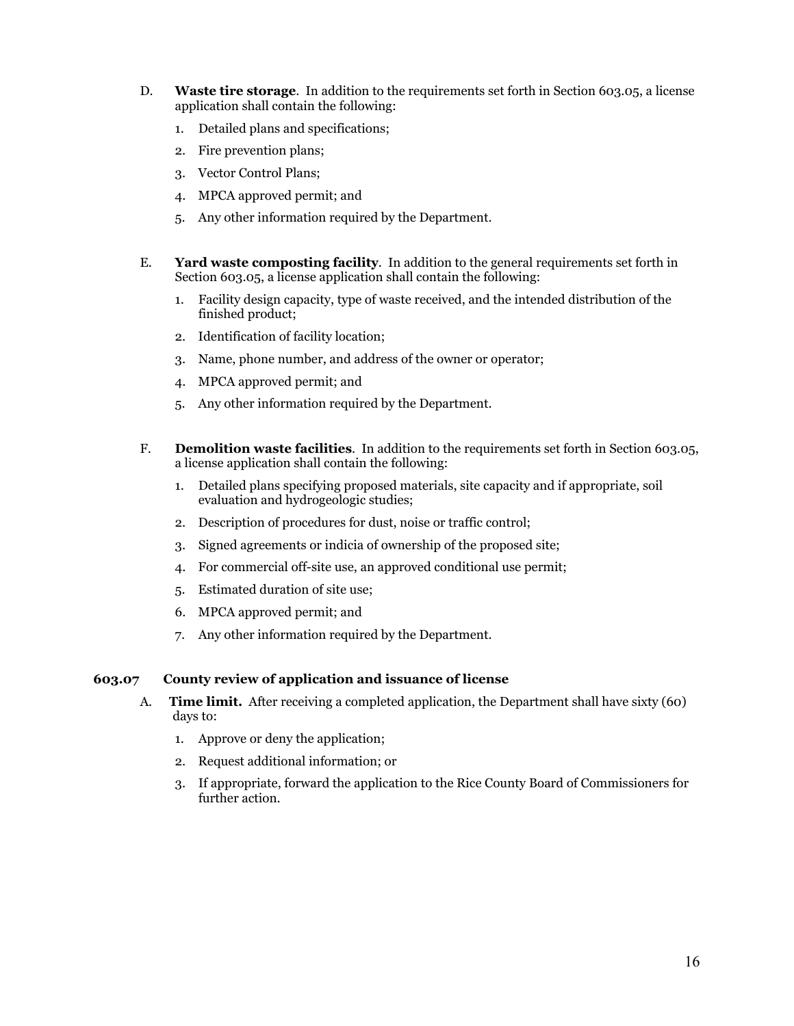- D. **Waste tire storage**. In addition to the requirements set forth in Section 603.05, a license application shall contain the following:
	- 1. Detailed plans and specifications;
	- 2. Fire prevention plans;
	- 3. Vector Control Plans;
	- 4. MPCA approved permit; and
	- 5. Any other information required by the Department.
- E. **Yard waste composting facility**. In addition to the general requirements set forth in Section 603.05, a license application shall contain the following:
	- 1. Facility design capacity, type of waste received, and the intended distribution of the finished product;
	- 2. Identification of facility location;
	- 3. Name, phone number, and address of the owner or operator;
	- 4. MPCA approved permit; and
	- 5. Any other information required by the Department.
- F. **Demolition waste facilities**. In addition to the requirements set forth in Section 603.05, a license application shall contain the following:
	- 1. Detailed plans specifying proposed materials, site capacity and if appropriate, soil evaluation and hydrogeologic studies;
	- 2. Description of procedures for dust, noise or traffic control;
	- 3. Signed agreements or indicia of ownership of the proposed site;
	- 4. For commercial off-site use, an approved conditional use permit;
	- 5. Estimated duration of site use;
	- 6. MPCA approved permit; and
	- 7. Any other information required by the Department.

#### **603.07 County review of application and issuance of license**

- A. **Time limit.** After receiving a completed application, the Department shall have sixty (60) days to:
	- 1. Approve or deny the application;
	- 2. Request additional information; or
	- 3. If appropriate, forward the application to the Rice County Board of Commissioners for further action.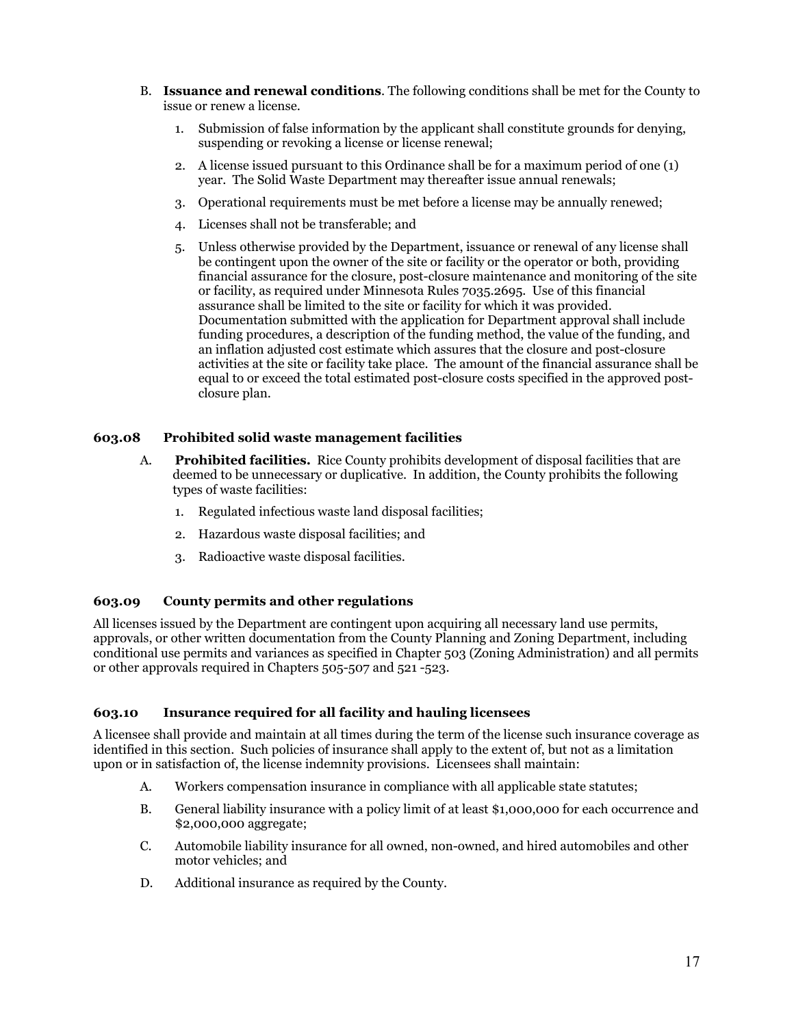- B. **Issuance and renewal conditions**. The following conditions shall be met for the County to issue or renew a license.
	- 1. Submission of false information by the applicant shall constitute grounds for denying, suspending or revoking a license or license renewal;
	- 2. A license issued pursuant to this Ordinance shall be for a maximum period of one (1) year. The Solid Waste Department may thereafter issue annual renewals;
	- 3. Operational requirements must be met before a license may be annually renewed;
	- 4. Licenses shall not be transferable; and
	- 5. Unless otherwise provided by the Department, issuance or renewal of any license shall be contingent upon the owner of the site or facility or the operator or both, providing financial assurance for the closure, post-closure maintenance and monitoring of the site or facility, as required under Minnesota Rules 7035.2695. Use of this financial assurance shall be limited to the site or facility for which it was provided. Documentation submitted with the application for Department approval shall include funding procedures, a description of the funding method, the value of the funding, and an inflation adjusted cost estimate which assures that the closure and post-closure activities at the site or facility take place. The amount of the financial assurance shall be equal to or exceed the total estimated post-closure costs specified in the approved postclosure plan.

#### **603.08 Prohibited solid waste management facilities**

- A. **Prohibited facilities.** Rice County prohibits development of disposal facilities that are deemed to be unnecessary or duplicative. In addition, the County prohibits the following types of waste facilities:
	- 1. Regulated infectious waste land disposal facilities;
	- 2. Hazardous waste disposal facilities; and
	- 3. Radioactive waste disposal facilities.

#### **603.09 County permits and other regulations**

All licenses issued by the Department are contingent upon acquiring all necessary land use permits, approvals, or other written documentation from the County Planning and Zoning Department, including conditional use permits and variances as specified in Chapter 503 (Zoning Administration) and all permits or other approvals required in Chapters 505-507 and 521 -523.

## **603.10 Insurance required for all facility and hauling licensees**

A licensee shall provide and maintain at all times during the term of the license such insurance coverage as identified in this section. Such policies of insurance shall apply to the extent of, but not as a limitation upon or in satisfaction of, the license indemnity provisions. Licensees shall maintain:

- A. Workers compensation insurance in compliance with all applicable state statutes;
- B. General liability insurance with a policy limit of at least \$1,000,000 for each occurrence and \$2,000,000 aggregate;
- C. Automobile liability insurance for all owned, non-owned, and hired automobiles and other motor vehicles; and
- D. Additional insurance as required by the County.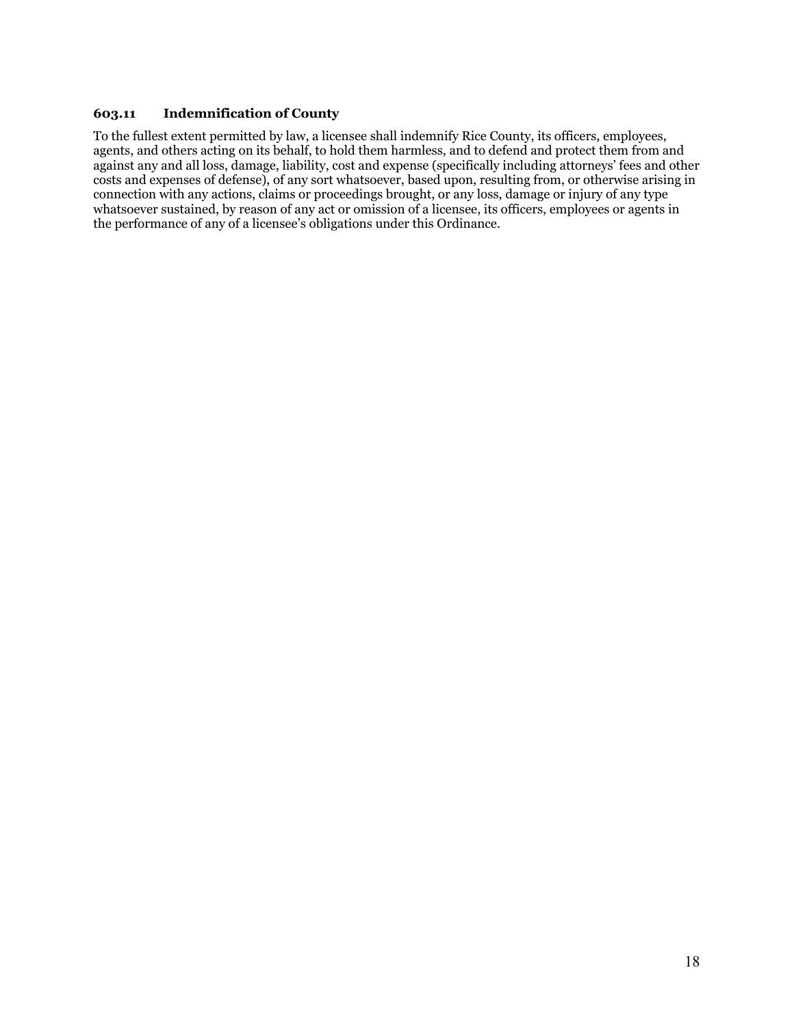## **603.11 Indemnification of County**

To the fullest extent permitted by law, a licensee shall indemnify Rice County, its officers, employees, agents, and others acting on its behalf, to hold them harmless, and to defend and protect them from and against any and all loss, damage, liability, cost and expense (specifically including attorneys' fees and other costs and expenses of defense), of any sort whatsoever, based upon, resulting from, or otherwise arising in connection with any actions, claims or proceedings brought, or any loss, damage or injury of any type whatsoever sustained, by reason of any act or omission of a licensee, its officers, employees or agents in the performance of any of a licensee's obligations under this Ordinance.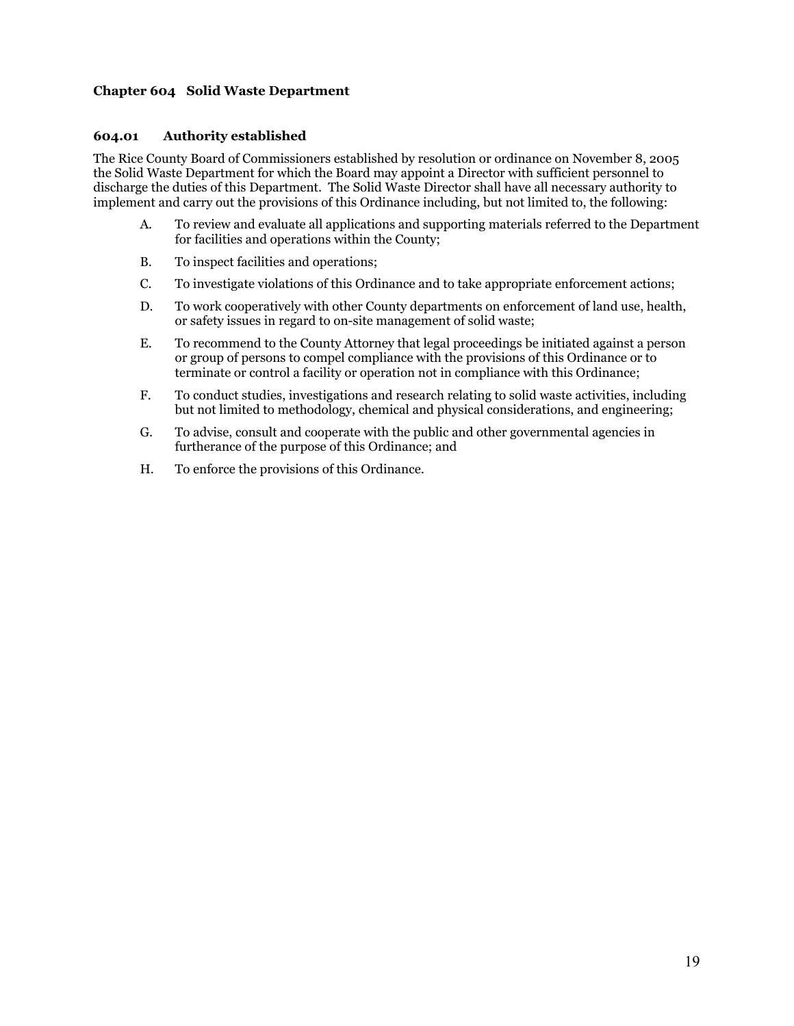## **Chapter 604 Solid Waste Department**

#### **604.01 Authority established**

The Rice County Board of Commissioners established by resolution or ordinance on November 8, 2005 the Solid Waste Department for which the Board may appoint a Director with sufficient personnel to discharge the duties of this Department. The Solid Waste Director shall have all necessary authority to implement and carry out the provisions of this Ordinance including, but not limited to, the following:

- A. To review and evaluate all applications and supporting materials referred to the Department for facilities and operations within the County;
- B. To inspect facilities and operations;
- C. To investigate violations of this Ordinance and to take appropriate enforcement actions;
- D. To work cooperatively with other County departments on enforcement of land use, health, or safety issues in regard to on-site management of solid waste;
- E. To recommend to the County Attorney that legal proceedings be initiated against a person or group of persons to compel compliance with the provisions of this Ordinance or to terminate or control a facility or operation not in compliance with this Ordinance;
- F. To conduct studies, investigations and research relating to solid waste activities, including but not limited to methodology, chemical and physical considerations, and engineering;
- G. To advise, consult and cooperate with the public and other governmental agencies in furtherance of the purpose of this Ordinance; and
- H. To enforce the provisions of this Ordinance.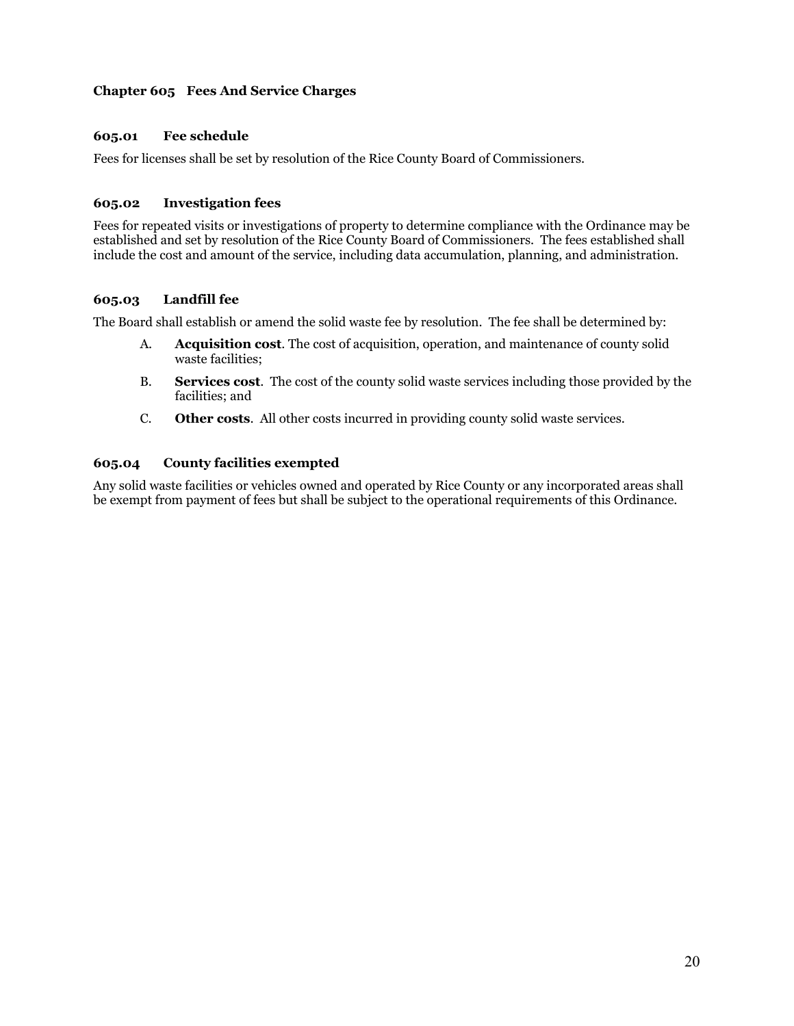## **Chapter 605 Fees And Service Charges**

## **605.01 Fee schedule**

Fees for licenses shall be set by resolution of the Rice County Board of Commissioners.

## **605.02 Investigation fees**

Fees for repeated visits or investigations of property to determine compliance with the Ordinance may be established and set by resolution of the Rice County Board of Commissioners. The fees established shall include the cost and amount of the service, including data accumulation, planning, and administration.

## **605.03 Landfill fee**

The Board shall establish or amend the solid waste fee by resolution. The fee shall be determined by:

- A. **Acquisition cost**. The cost of acquisition, operation, and maintenance of county solid waste facilities;
- B. **Services cost**. The cost of the county solid waste services including those provided by the facilities; and
- C. **Other costs**. All other costs incurred in providing county solid waste services.

## **605.04 County facilities exempted**

Any solid waste facilities or vehicles owned and operated by Rice County or any incorporated areas shall be exempt from payment of fees but shall be subject to the operational requirements of this Ordinance.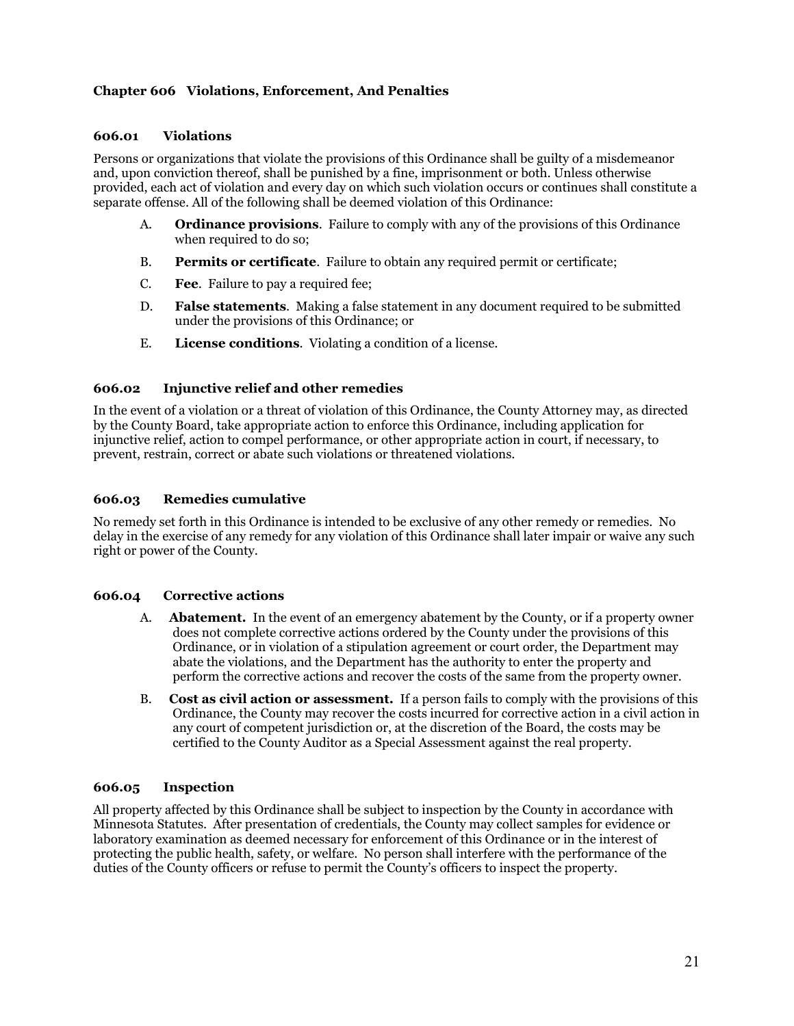## **Chapter 606 Violations, Enforcement, And Penalties**

#### **606.01 Violations**

Persons or organizations that violate the provisions of this Ordinance shall be guilty of a misdemeanor and, upon conviction thereof, shall be punished by a fine, imprisonment or both. Unless otherwise provided, each act of violation and every day on which such violation occurs or continues shall constitute a separate offense. All of the following shall be deemed violation of this Ordinance:

- A. **Ordinance provisions**. Failure to comply with any of the provisions of this Ordinance when required to do so:
- B. **Permits or certificate**. Failure to obtain any required permit or certificate;
- C. **Fee**. Failure to pay a required fee;
- D. **False statements**. Making a false statement in any document required to be submitted under the provisions of this Ordinance; or
- E. **License conditions**. Violating a condition of a license.

#### **606.02 Injunctive relief and other remedies**

In the event of a violation or a threat of violation of this Ordinance, the County Attorney may, as directed by the County Board, take appropriate action to enforce this Ordinance, including application for injunctive relief, action to compel performance, or other appropriate action in court, if necessary, to prevent, restrain, correct or abate such violations or threatened violations.

#### **606.03 Remedies cumulative**

No remedy set forth in this Ordinance is intended to be exclusive of any other remedy or remedies. No delay in the exercise of any remedy for any violation of this Ordinance shall later impair or waive any such right or power of the County.

#### **606.04 Corrective actions**

- A. **Abatement.** In the event of an emergency abatement by the County, or if a property owner does not complete corrective actions ordered by the County under the provisions of this Ordinance, or in violation of a stipulation agreement or court order, the Department may abate the violations, and the Department has the authority to enter the property and perform the corrective actions and recover the costs of the same from the property owner.
- B. **Cost as civil action or assessment.** If a person fails to comply with the provisions of this Ordinance, the County may recover the costs incurred for corrective action in a civil action in any court of competent jurisdiction or, at the discretion of the Board, the costs may be certified to the County Auditor as a Special Assessment against the real property.

#### **606.05 Inspection**

All property affected by this Ordinance shall be subject to inspection by the County in accordance with Minnesota Statutes. After presentation of credentials, the County may collect samples for evidence or laboratory examination as deemed necessary for enforcement of this Ordinance or in the interest of protecting the public health, safety, or welfare. No person shall interfere with the performance of the duties of the County officers or refuse to permit the County's officers to inspect the property.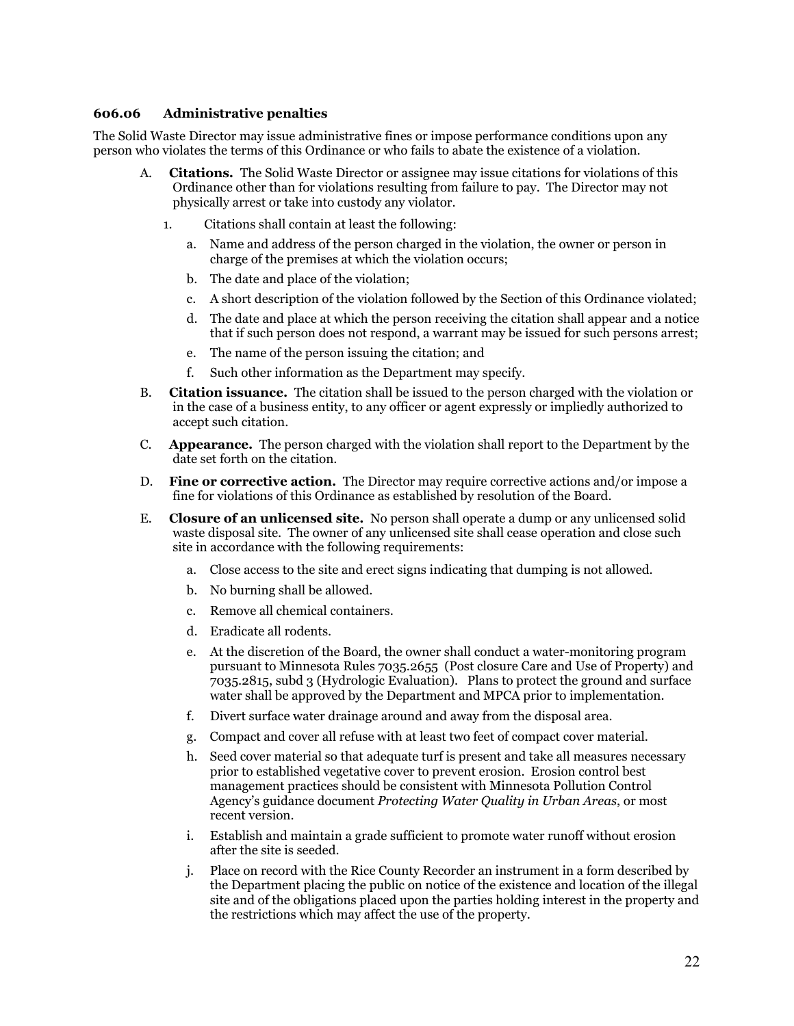#### **606.06 Administrative penalties**

The Solid Waste Director may issue administrative fines or impose performance conditions upon any person who violates the terms of this Ordinance or who fails to abate the existence of a violation.

- A. **Citations.** The Solid Waste Director or assignee may issue citations for violations of this Ordinance other than for violations resulting from failure to pay. The Director may not physically arrest or take into custody any violator.
	- 1. Citations shall contain at least the following:
		- a. Name and address of the person charged in the violation, the owner or person in charge of the premises at which the violation occurs;
		- b. The date and place of the violation;
		- c. A short description of the violation followed by the Section of this Ordinance violated;
		- d. The date and place at which the person receiving the citation shall appear and a notice that if such person does not respond, a warrant may be issued for such persons arrest;
		- e. The name of the person issuing the citation; and
		- f. Such other information as the Department may specify.
- B. **Citation issuance.** The citation shall be issued to the person charged with the violation or in the case of a business entity, to any officer or agent expressly or impliedly authorized to accept such citation.
- C. **Appearance.** The person charged with the violation shall report to the Department by the date set forth on the citation.
- D. **Fine or corrective action.** The Director may require corrective actions and/or impose a fine for violations of this Ordinance as established by resolution of the Board.
- E. **Closure of an unlicensed site.** No person shall operate a dump or any unlicensed solid waste disposal site. The owner of any unlicensed site shall cease operation and close such site in accordance with the following requirements:
	- a. Close access to the site and erect signs indicating that dumping is not allowed.
	- b. No burning shall be allowed.
	- c. Remove all chemical containers.
	- d. Eradicate all rodents.
	- e. At the discretion of the Board, the owner shall conduct a water-monitoring program pursuant to Minnesota Rules 7035.2655 (Post closure Care and Use of Property) and 7035.2815, subd 3 (Hydrologic Evaluation). Plans to protect the ground and surface water shall be approved by the Department and MPCA prior to implementation.
	- f. Divert surface water drainage around and away from the disposal area.
	- g. Compact and cover all refuse with at least two feet of compact cover material.
	- h. Seed cover material so that adequate turf is present and take all measures necessary prior to established vegetative cover to prevent erosion. Erosion control best management practices should be consistent with Minnesota Pollution Control Agency's guidance document *Protecting Water Quality in Urban Areas*, or most recent version.
	- i. Establish and maintain a grade sufficient to promote water runoff without erosion after the site is seeded.
	- j. Place on record with the Rice County Recorder an instrument in a form described by the Department placing the public on notice of the existence and location of the illegal site and of the obligations placed upon the parties holding interest in the property and the restrictions which may affect the use of the property.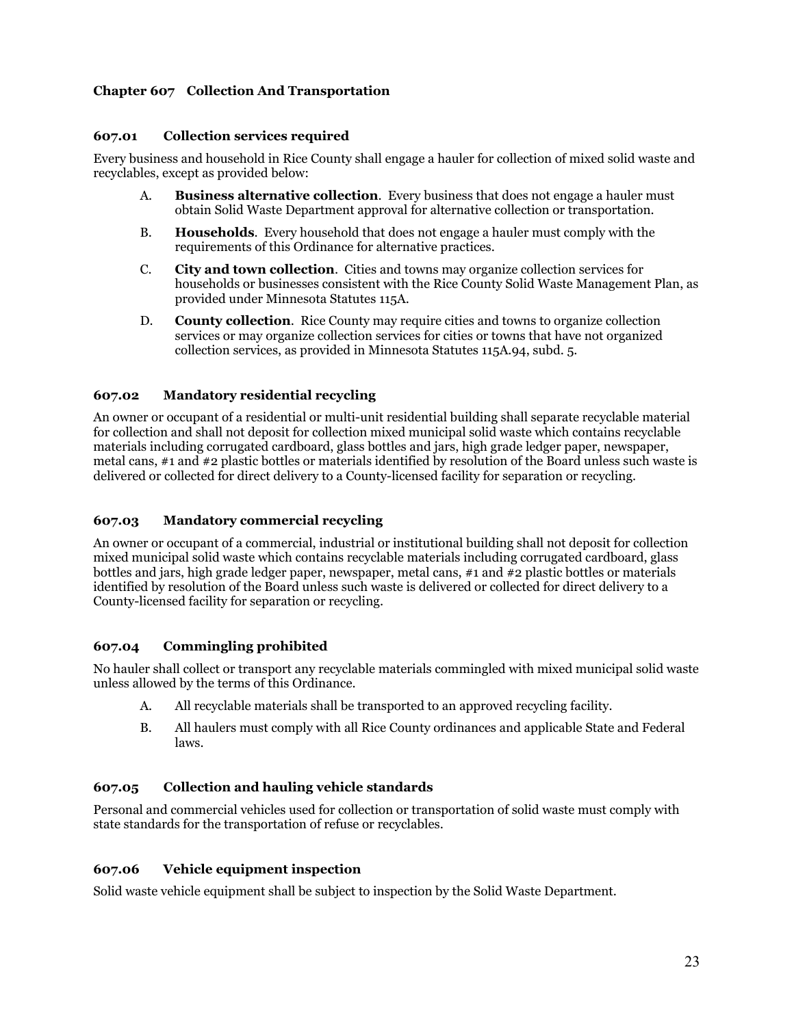## **Chapter 607 Collection And Transportation**

## **607.01 Collection services required**

Every business and household in Rice County shall engage a hauler for collection of mixed solid waste and recyclables, except as provided below:

- A. **Business alternative collection**. Every business that does not engage a hauler must obtain Solid Waste Department approval for alternative collection or transportation.
- B. **Households**. Every household that does not engage a hauler must comply with the requirements of this Ordinance for alternative practices.
- C. **City and town collection**. Cities and towns may organize collection services for households or businesses consistent with the Rice County Solid Waste Management Plan, as provided under Minnesota Statutes 115A.
- D. **County collection**. Rice County may require cities and towns to organize collection services or may organize collection services for cities or towns that have not organized collection services, as provided in Minnesota Statutes 115A.94, subd. 5.

#### **607.02 Mandatory residential recycling**

An owner or occupant of a residential or multi-unit residential building shall separate recyclable material for collection and shall not deposit for collection mixed municipal solid waste which contains recyclable materials including corrugated cardboard, glass bottles and jars, high grade ledger paper, newspaper, metal cans, #1 and #2 plastic bottles or materials identified by resolution of the Board unless such waste is delivered or collected for direct delivery to a County-licensed facility for separation or recycling.

## **607.03 Mandatory commercial recycling**

An owner or occupant of a commercial, industrial or institutional building shall not deposit for collection mixed municipal solid waste which contains recyclable materials including corrugated cardboard, glass bottles and jars, high grade ledger paper, newspaper, metal cans, #1 and #2 plastic bottles or materials identified by resolution of the Board unless such waste is delivered or collected for direct delivery to a County-licensed facility for separation or recycling.

## **607.04 Commingling prohibited**

No hauler shall collect or transport any recyclable materials commingled with mixed municipal solid waste unless allowed by the terms of this Ordinance.

- A. All recyclable materials shall be transported to an approved recycling facility.
- B. All haulers must comply with all Rice County ordinances and applicable State and Federal laws.

## **607.05 Collection and hauling vehicle standards**

Personal and commercial vehicles used for collection or transportation of solid waste must comply with state standards for the transportation of refuse or recyclables.

## **607.06 Vehicle equipment inspection**

Solid waste vehicle equipment shall be subject to inspection by the Solid Waste Department.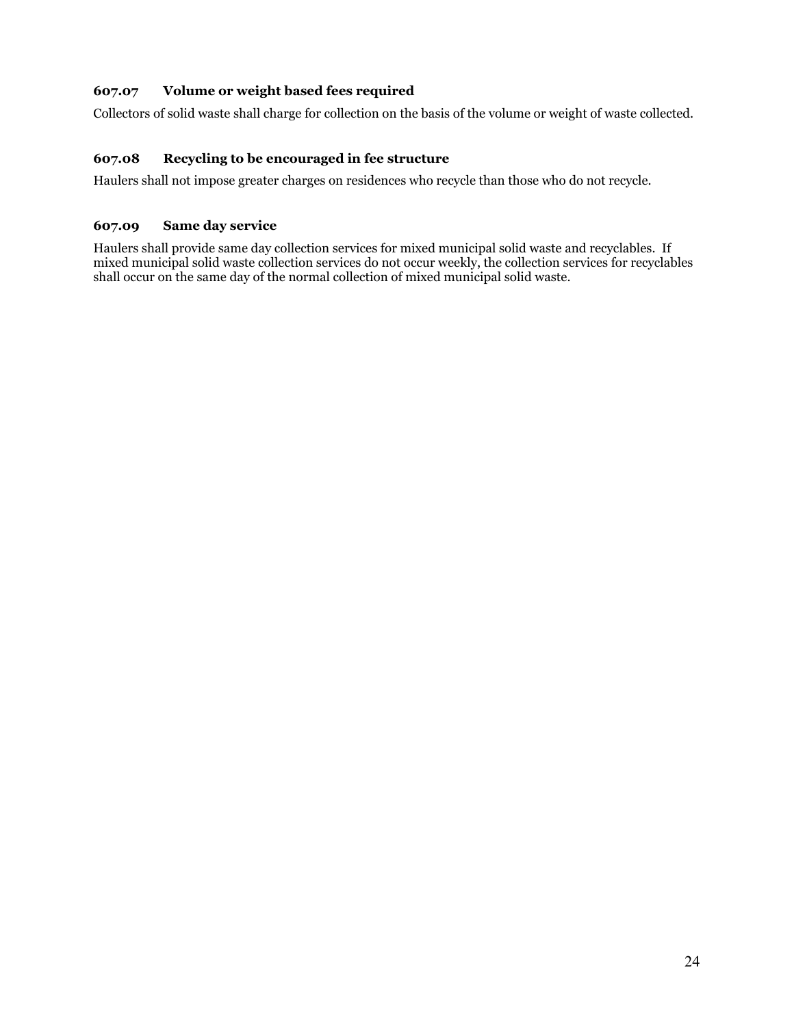## **607.07 Volume or weight based fees required**

Collectors of solid waste shall charge for collection on the basis of the volume or weight of waste collected.

## **607.08 Recycling to be encouraged in fee structure**

Haulers shall not impose greater charges on residences who recycle than those who do not recycle.

## **607.09 Same day service**

Haulers shall provide same day collection services for mixed municipal solid waste and recyclables. If mixed municipal solid waste collection services do not occur weekly, the collection services for recyclables shall occur on the same day of the normal collection of mixed municipal solid waste.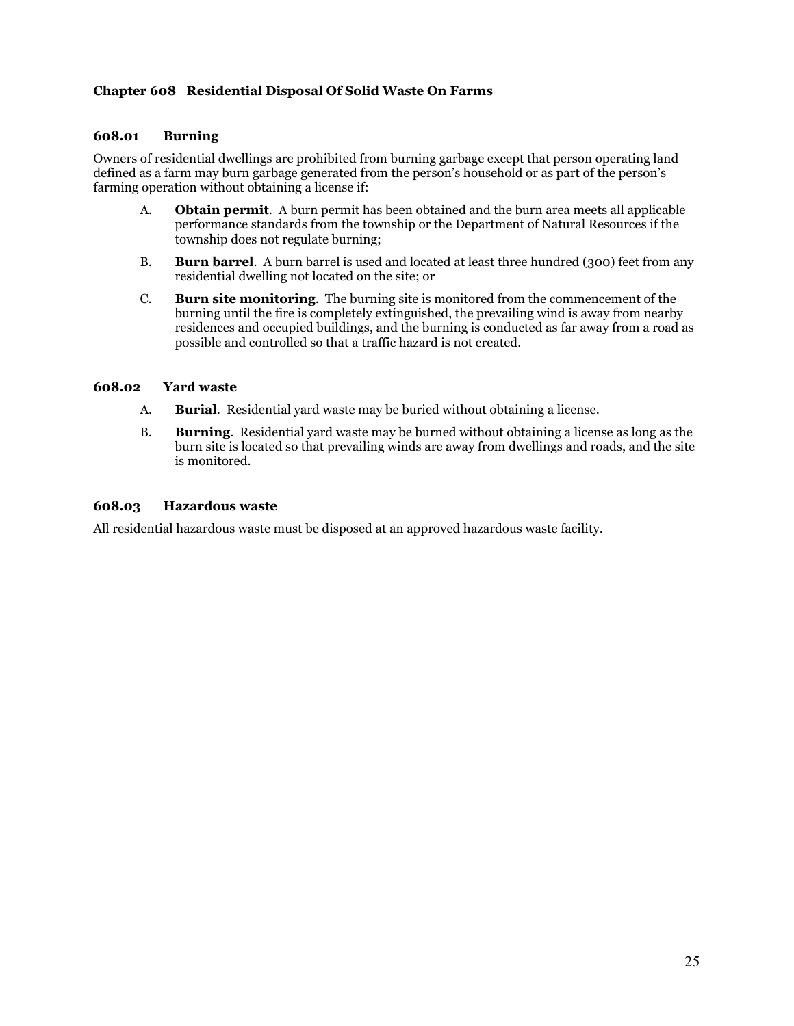## **Chapter 608 Residential Disposal Of Solid Waste On Farms**

## **608.01 Burning**

Owners of residential dwellings are prohibited from burning garbage except that person operating land defined as a farm may burn garbage generated from the person's household or as part of the person's farming operation without obtaining a license if:

- A. **Obtain permit**. A burn permit has been obtained and the burn area meets all applicable performance standards from the township or the Department of Natural Resources if the township does not regulate burning;
- B. **Burn barrel**. A burn barrel is used and located at least three hundred (300) feet from any residential dwelling not located on the site; or
- C. **Burn site monitoring**. The burning site is monitored from the commencement of the burning until the fire is completely extinguished, the prevailing wind is away from nearby residences and occupied buildings, and the burning is conducted as far away from a road as possible and controlled so that a traffic hazard is not created.

#### **608.02 Yard waste**

- A. **Burial**. Residential yard waste may be buried without obtaining a license.
- B. **Burning**. Residential yard waste may be burned without obtaining a license as long as the burn site is located so that prevailing winds are away from dwellings and roads, and the site is monitored.

#### **608.03 Hazardous waste**

All residential hazardous waste must be disposed at an approved hazardous waste facility.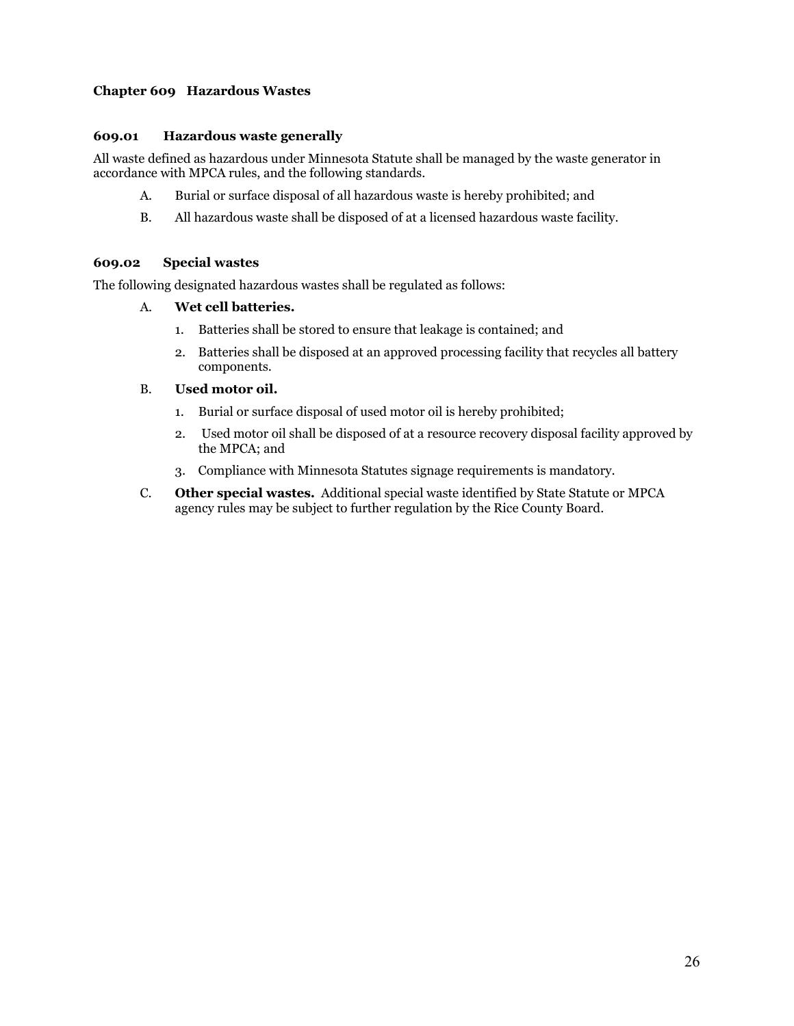## **Chapter 609 Hazardous Wastes**

## **609.01 Hazardous waste generally**

All waste defined as hazardous under Minnesota Statute shall be managed by the waste generator in accordance with MPCA rules, and the following standards.

- A. Burial or surface disposal of all hazardous waste is hereby prohibited; and
- B. All hazardous waste shall be disposed of at a licensed hazardous waste facility.

## **609.02 Special wastes**

The following designated hazardous wastes shall be regulated as follows:

## A. **Wet cell batteries.**

- 1. Batteries shall be stored to ensure that leakage is contained; and
- 2. Batteries shall be disposed at an approved processing facility that recycles all battery components.

#### B. **Used motor oil.**

- 1. Burial or surface disposal of used motor oil is hereby prohibited;
- 2. Used motor oil shall be disposed of at a resource recovery disposal facility approved by the MPCA; and
- 3. Compliance with Minnesota Statutes signage requirements is mandatory.
- C. **Other special wastes.** Additional special waste identified by State Statute or MPCA agency rules may be subject to further regulation by the Rice County Board.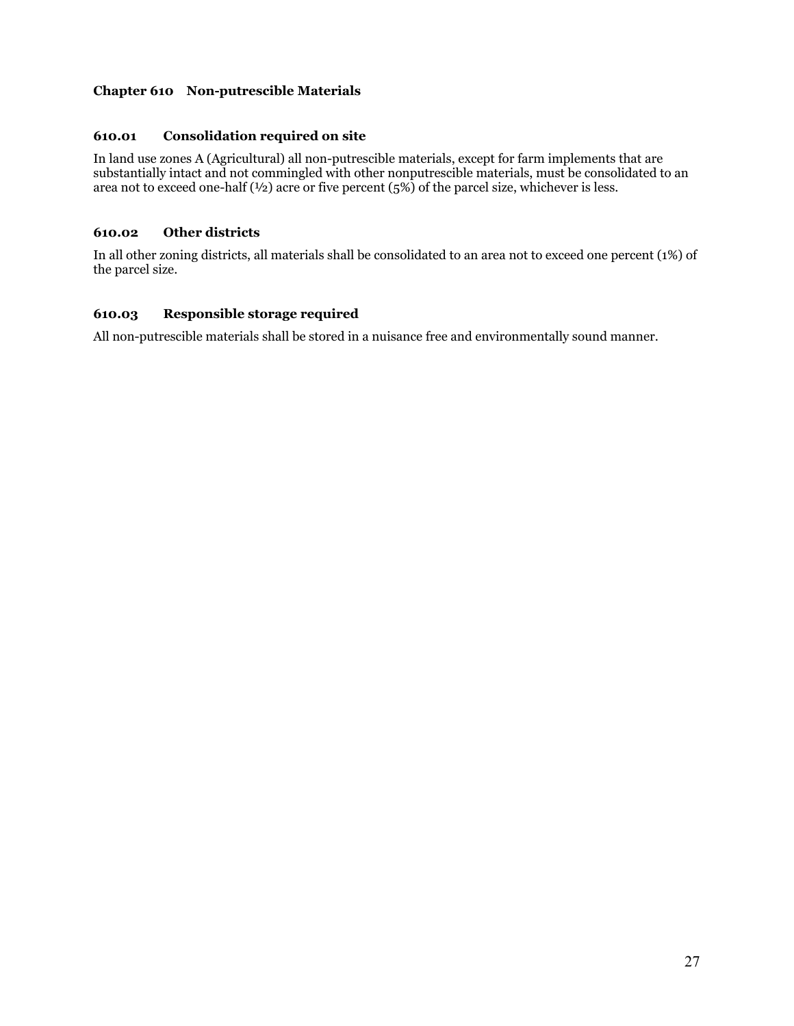## **Chapter 610 Non-putrescible Materials**

## **610.01 Consolidation required on site**

In land use zones A (Agricultural) all non-putrescible materials, except for farm implements that are substantially intact and not commingled with other nonputrescible materials, must be consolidated to an area not to exceed one-half (½) acre or five percent (5%) of the parcel size, whichever is less.

#### **610.02 Other districts**

In all other zoning districts, all materials shall be consolidated to an area not to exceed one percent (1%) of the parcel size.

## **610.03 Responsible storage required**

All non-putrescible materials shall be stored in a nuisance free and environmentally sound manner.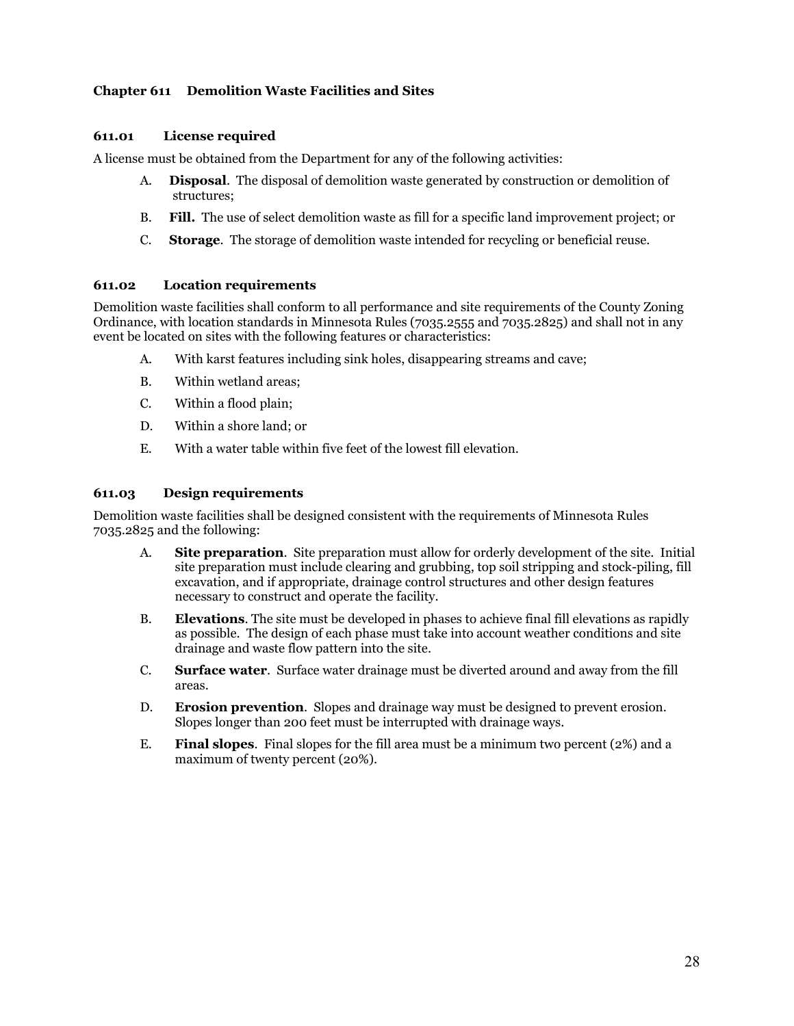## **Chapter 611 Demolition Waste Facilities and Sites**

#### **611.01 License required**

A license must be obtained from the Department for any of the following activities:

- A. **Disposal**. The disposal of demolition waste generated by construction or demolition of structures;
- B. **Fill.** The use of select demolition waste as fill for a specific land improvement project; or
- C. **Storage**. The storage of demolition waste intended for recycling or beneficial reuse.

## **611.02 Location requirements**

Demolition waste facilities shall conform to all performance and site requirements of the County Zoning Ordinance, with location standards in Minnesota Rules (7035.2555 and 7035.2825) and shall not in any event be located on sites with the following features or characteristics:

- A. With karst features including sink holes, disappearing streams and cave;
- B. Within wetland areas;
- C. Within a flood plain;
- D. Within a shore land; or
- E. With a water table within five feet of the lowest fill elevation.

#### **611.03 Design requirements**

Demolition waste facilities shall be designed consistent with the requirements of Minnesota Rules 7035.2825 and the following:

- A. **Site preparation**. Site preparation must allow for orderly development of the site. Initial site preparation must include clearing and grubbing, top soil stripping and stock-piling, fill excavation, and if appropriate, drainage control structures and other design features necessary to construct and operate the facility.
- B. **Elevations**. The site must be developed in phases to achieve final fill elevations as rapidly as possible. The design of each phase must take into account weather conditions and site drainage and waste flow pattern into the site.
- C. **Surface water**. Surface water drainage must be diverted around and away from the fill areas.
- D. **Erosion prevention**. Slopes and drainage way must be designed to prevent erosion. Slopes longer than 200 feet must be interrupted with drainage ways.
- E. **Final slopes**. Final slopes for the fill area must be a minimum two percent (2%) and a maximum of twenty percent (20%).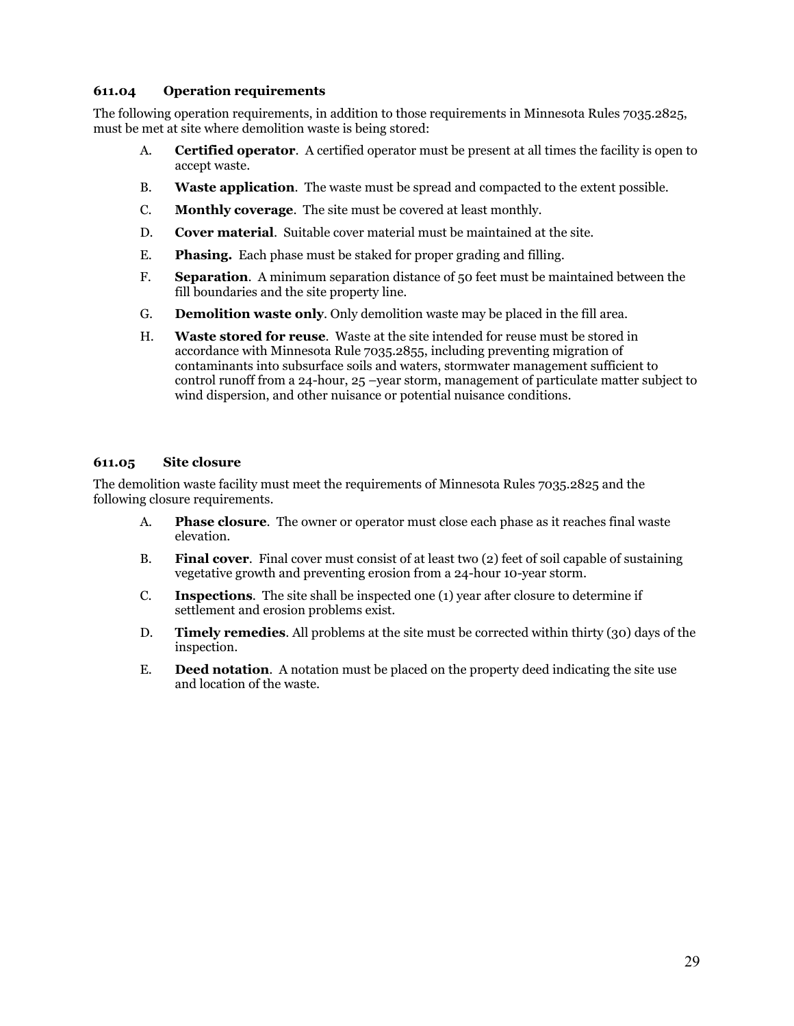#### **611.04 Operation requirements**

The following operation requirements, in addition to those requirements in Minnesota Rules 7035.2825, must be met at site where demolition waste is being stored:

- A. **Certified operator**. A certified operator must be present at all times the facility is open to accept waste.
- B. **Waste application**. The waste must be spread and compacted to the extent possible.
- C. **Monthly coverage**. The site must be covered at least monthly.
- D. **Cover material**. Suitable cover material must be maintained at the site.
- E. **Phasing.** Each phase must be staked for proper grading and filling.
- F. **Separation**. A minimum separation distance of 50 feet must be maintained between the fill boundaries and the site property line.
- G. **Demolition waste only**. Only demolition waste may be placed in the fill area.
- H. **Waste stored for reuse**. Waste at the site intended for reuse must be stored in accordance with Minnesota Rule 7035.2855, including preventing migration of contaminants into subsurface soils and waters, stormwater management sufficient to control runoff from a 24-hour, 25 –year storm, management of particulate matter subject to wind dispersion, and other nuisance or potential nuisance conditions.

#### **611.05 Site closure**

The demolition waste facility must meet the requirements of Minnesota Rules 7035.2825 and the following closure requirements.

- A. **Phase closure**. The owner or operator must close each phase as it reaches final waste elevation.
- B. **Final cover**. Final cover must consist of at least two (2) feet of soil capable of sustaining vegetative growth and preventing erosion from a 24-hour 10-year storm.
- C. **Inspections**. The site shall be inspected one (1) year after closure to determine if settlement and erosion problems exist.
- D. **Timely remedies**. All problems at the site must be corrected within thirty (30) days of the inspection.
- E. **Deed notation**. A notation must be placed on the property deed indicating the site use and location of the waste.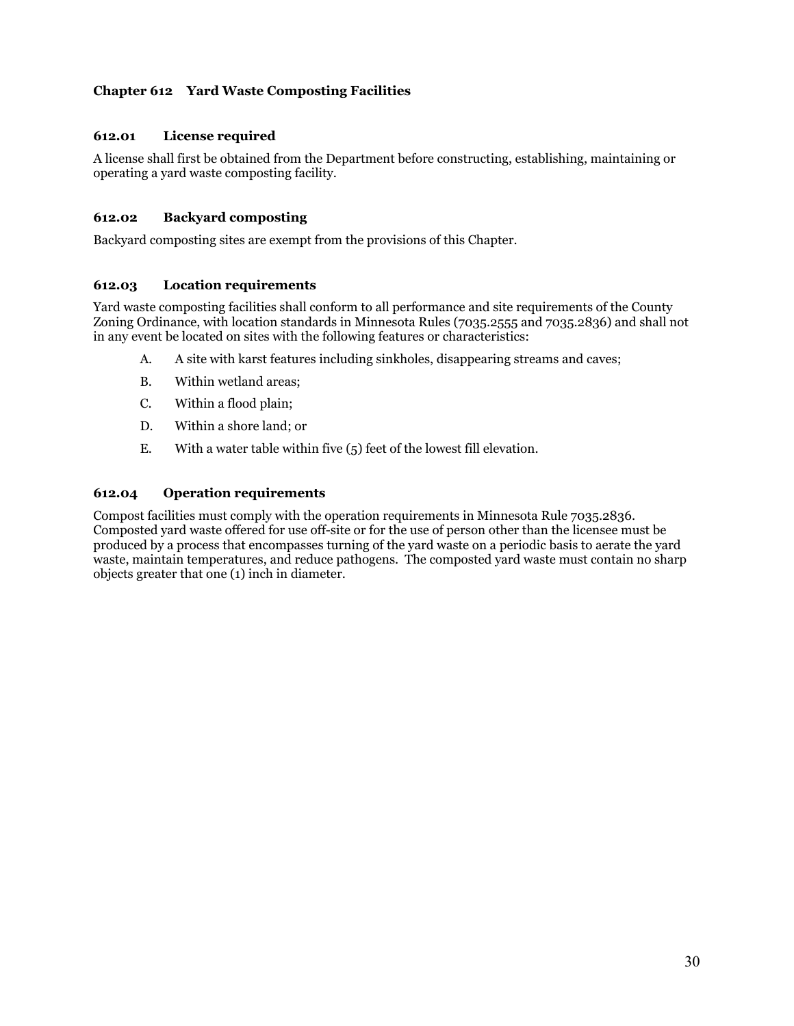## **Chapter 612 Yard Waste Composting Facilities**

## **612.01 License required**

A license shall first be obtained from the Department before constructing, establishing, maintaining or operating a yard waste composting facility.

#### **612.02 Backyard composting**

Backyard composting sites are exempt from the provisions of this Chapter.

## **612.03 Location requirements**

Yard waste composting facilities shall conform to all performance and site requirements of the County Zoning Ordinance, with location standards in Minnesota Rules (7035.2555 and 7035.2836) and shall not in any event be located on sites with the following features or characteristics:

- A. A site with karst features including sinkholes, disappearing streams and caves;
- B. Within wetland areas;
- C. Within a flood plain;
- D. Within a shore land; or
- E. With a water table within five (5) feet of the lowest fill elevation.

#### **612.04 Operation requirements**

Compost facilities must comply with the operation requirements in Minnesota Rule 7035.2836. Composted yard waste offered for use off-site or for the use of person other than the licensee must be produced by a process that encompasses turning of the yard waste on a periodic basis to aerate the yard waste, maintain temperatures, and reduce pathogens. The composted yard waste must contain no sharp objects greater that one (1) inch in diameter.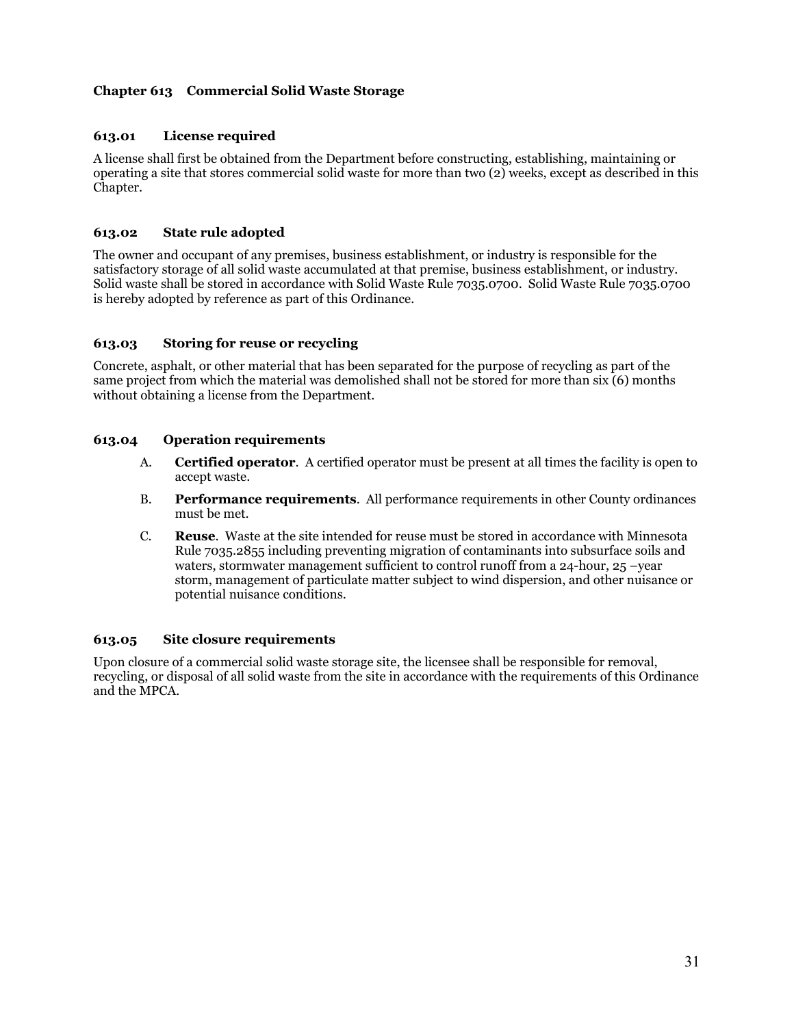## **Chapter 613 Commercial Solid Waste Storage**

## **613.01 License required**

A license shall first be obtained from the Department before constructing, establishing, maintaining or operating a site that stores commercial solid waste for more than two (2) weeks, except as described in this Chapter.

#### **613.02 State rule adopted**

The owner and occupant of any premises, business establishment, or industry is responsible for the satisfactory storage of all solid waste accumulated at that premise, business establishment, or industry. Solid waste shall be stored in accordance with Solid Waste Rule 7035.0700. Solid Waste Rule 7035.0700 is hereby adopted by reference as part of this Ordinance.

#### **613.03 Storing for reuse or recycling**

Concrete, asphalt, or other material that has been separated for the purpose of recycling as part of the same project from which the material was demolished shall not be stored for more than six (6) months without obtaining a license from the Department.

#### **613.04 Operation requirements**

- A. **Certified operator**. A certified operator must be present at all times the facility is open to accept waste.
- B. **Performance requirements**. All performance requirements in other County ordinances must be met.
- C. **Reuse**. Waste at the site intended for reuse must be stored in accordance with Minnesota Rule 7035.2855 including preventing migration of contaminants into subsurface soils and waters, stormwater management sufficient to control runoff from a 24-hour, 25 –year storm, management of particulate matter subject to wind dispersion, and other nuisance or potential nuisance conditions.

#### **613.05 Site closure requirements**

Upon closure of a commercial solid waste storage site, the licensee shall be responsible for removal, recycling, or disposal of all solid waste from the site in accordance with the requirements of this Ordinance and the MPCA.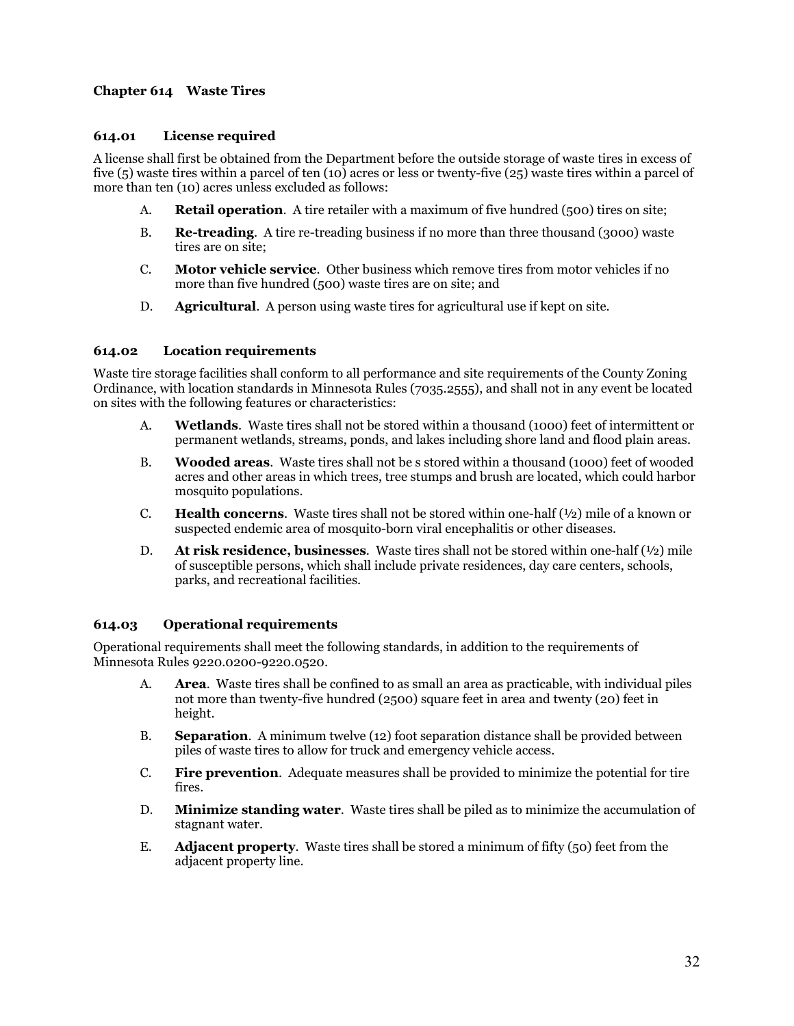## **Chapter 614 Waste Tires**

## **614.01 License required**

A license shall first be obtained from the Department before the outside storage of waste tires in excess of five (5) waste tires within a parcel of ten (10) acres or less or twenty-five (25) waste tires within a parcel of more than ten (10) acres unless excluded as follows:

- A. **Retail operation**. A tire retailer with a maximum of five hundred (500) tires on site;
- B. **Re-treading**. A tire re-treading business if no more than three thousand (3000) waste tires are on site;
- C. **Motor vehicle service**. Other business which remove tires from motor vehicles if no more than five hundred (500) waste tires are on site; and
- D. **Agricultural**. A person using waste tires for agricultural use if kept on site.

#### **614.02 Location requirements**

Waste tire storage facilities shall conform to all performance and site requirements of the County Zoning Ordinance, with location standards in Minnesota Rules (7035.2555), and shall not in any event be located on sites with the following features or characteristics:

- A. **Wetlands**. Waste tires shall not be stored within a thousand (1000) feet of intermittent or permanent wetlands, streams, ponds, and lakes including shore land and flood plain areas.
- B. **Wooded areas**. Waste tires shall not be s stored within a thousand (1000) feet of wooded acres and other areas in which trees, tree stumps and brush are located, which could harbor mosquito populations.
- **C. Health concerns.** Waste tires shall not be stored within one-half  $(\frac{1}{2})$  mile of a known or suspected endemic area of mosquito-born viral encephalitis or other diseases.
- D. **At risk residence, businesses**. Waste tires shall not be stored within one-half (½) mile of susceptible persons, which shall include private residences, day care centers, schools, parks, and recreational facilities.

## **614.03 Operational requirements**

Operational requirements shall meet the following standards, in addition to the requirements of Minnesota Rules 9220.0200-9220.0520.

- A. **Area**. Waste tires shall be confined to as small an area as practicable, with individual piles not more than twenty-five hundred (2500) square feet in area and twenty (20) feet in height.
- B. **Separation**. A minimum twelve (12) foot separation distance shall be provided between piles of waste tires to allow for truck and emergency vehicle access.
- C. **Fire prevention**. Adequate measures shall be provided to minimize the potential for tire fires.
- D. **Minimize standing water**. Waste tires shall be piled as to minimize the accumulation of stagnant water.
- E. **Adjacent property**. Waste tires shall be stored a minimum of fifty (50) feet from the adjacent property line.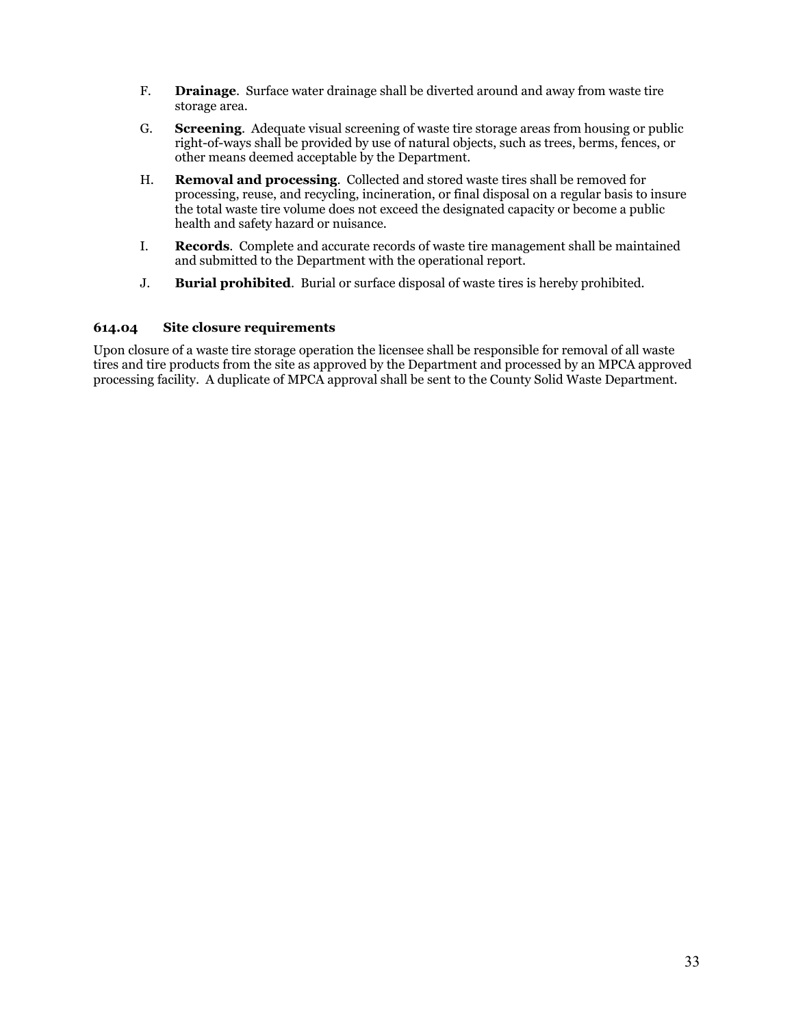- F. **Drainage**. Surface water drainage shall be diverted around and away from waste tire storage area.
- G. **Screening**. Adequate visual screening of waste tire storage areas from housing or public right-of-ways shall be provided by use of natural objects, such as trees, berms, fences, or other means deemed acceptable by the Department.
- H. **Removal and processing**. Collected and stored waste tires shall be removed for processing, reuse, and recycling, incineration, or final disposal on a regular basis to insure the total waste tire volume does not exceed the designated capacity or become a public health and safety hazard or nuisance.
- I. **Records**. Complete and accurate records of waste tire management shall be maintained and submitted to the Department with the operational report.
- J. **Burial prohibited**. Burial or surface disposal of waste tires is hereby prohibited.

#### **614.04 Site closure requirements**

Upon closure of a waste tire storage operation the licensee shall be responsible for removal of all waste tires and tire products from the site as approved by the Department and processed by an MPCA approved processing facility. A duplicate of MPCA approval shall be sent to the County Solid Waste Department.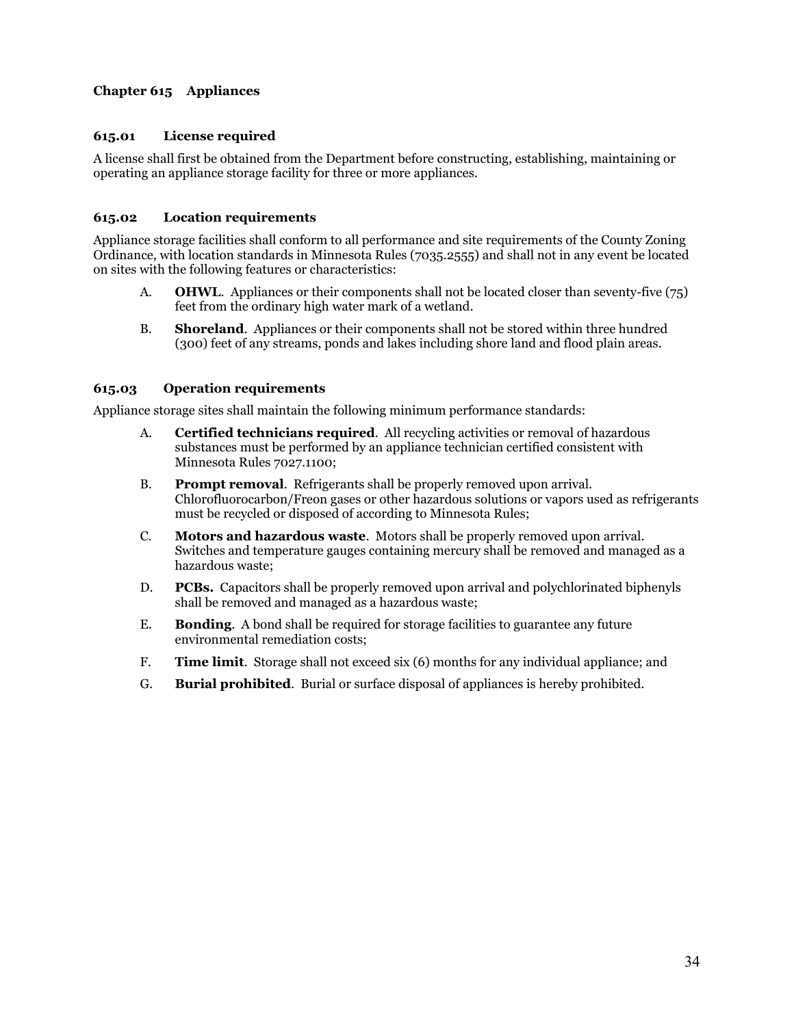## **Chapter 615 Appliances**

## **615.01 License required**

A license shall first be obtained from the Department before constructing, establishing, maintaining or operating an appliance storage facility for three or more appliances.

## **615.02 Location requirements**

Appliance storage facilities shall conform to all performance and site requirements of the County Zoning Ordinance, with location standards in Minnesota Rules (7035.2555) and shall not in any event be located on sites with the following features or characteristics:

- A. **OHWL**. Appliances or their components shall not be located closer than seventy-five (75) feet from the ordinary high water mark of a wetland.
- B. **Shoreland**. Appliances or their components shall not be stored within three hundred (300) feet of any streams, ponds and lakes including shore land and flood plain areas.

## **615.03 Operation requirements**

Appliance storage sites shall maintain the following minimum performance standards:

- A. **Certified technicians required**. All recycling activities or removal of hazardous substances must be performed by an appliance technician certified consistent with Minnesota Rules 7027.1100;
- B. **Prompt removal**. Refrigerants shall be properly removed upon arrival. Chlorofluorocarbon/Freon gases or other hazardous solutions or vapors used as refrigerants must be recycled or disposed of according to Minnesota Rules;
- C. **Motors and hazardous waste**. Motors shall be properly removed upon arrival. Switches and temperature gauges containing mercury shall be removed and managed as a hazardous waste;
- D. **PCBs.** Capacitors shall be properly removed upon arrival and polychlorinated biphenyls shall be removed and managed as a hazardous waste;
- E. **Bonding**. A bond shall be required for storage facilities to guarantee any future environmental remediation costs;
- F. **Time limit**. Storage shall not exceed six (6) months for any individual appliance; and
- G. **Burial prohibited**. Burial or surface disposal of appliances is hereby prohibited.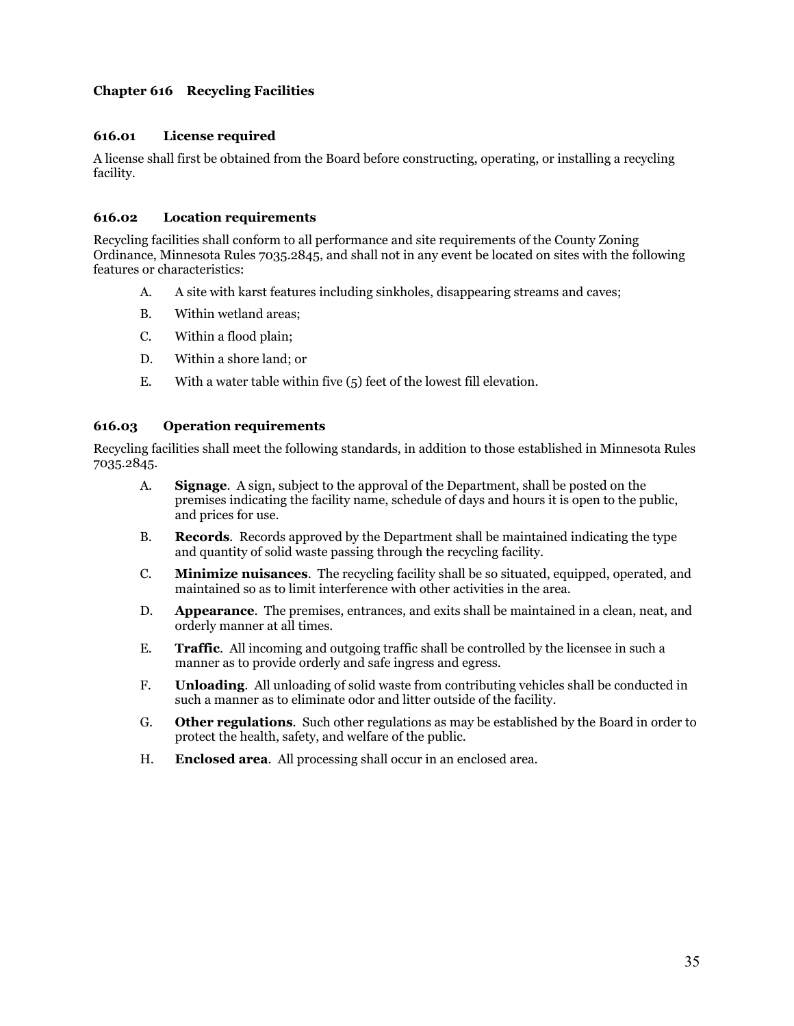## **Chapter 616 Recycling Facilities**

## **616.01 License required**

A license shall first be obtained from the Board before constructing, operating, or installing a recycling facility.

#### **616.02 Location requirements**

Recycling facilities shall conform to all performance and site requirements of the County Zoning Ordinance, Minnesota Rules 7035.2845, and shall not in any event be located on sites with the following features or characteristics:

- A. A site with karst features including sinkholes, disappearing streams and caves;
- B. Within wetland areas;
- C. Within a flood plain;
- D. Within a shore land; or
- E. With a water table within five (5) feet of the lowest fill elevation.

#### **616.03 Operation requirements**

Recycling facilities shall meet the following standards, in addition to those established in Minnesota Rules 7035.2845.

- A. **Signage**. A sign, subject to the approval of the Department, shall be posted on the premises indicating the facility name, schedule of days and hours it is open to the public, and prices for use.
- B. **Records**. Records approved by the Department shall be maintained indicating the type and quantity of solid waste passing through the recycling facility.
- C. **Minimize nuisances**. The recycling facility shall be so situated, equipped, operated, and maintained so as to limit interference with other activities in the area.
- D. **Appearance**. The premises, entrances, and exits shall be maintained in a clean, neat, and orderly manner at all times.
- E. **Traffic**. All incoming and outgoing traffic shall be controlled by the licensee in such a manner as to provide orderly and safe ingress and egress.
- F. **Unloading**. All unloading of solid waste from contributing vehicles shall be conducted in such a manner as to eliminate odor and litter outside of the facility.
- G. **Other regulations**. Such other regulations as may be established by the Board in order to protect the health, safety, and welfare of the public.
- H. **Enclosed area**. All processing shall occur in an enclosed area.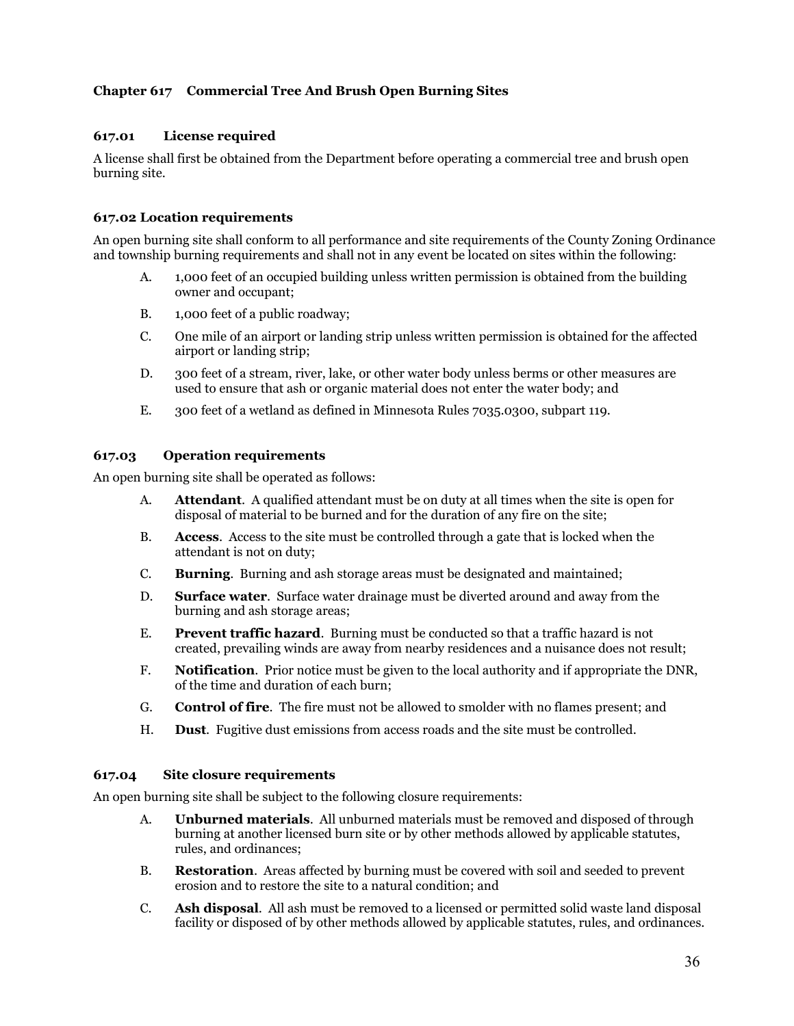## **Chapter 617 Commercial Tree And Brush Open Burning Sites**

## **617.01 License required**

A license shall first be obtained from the Department before operating a commercial tree and brush open burning site.

#### **617.02 Location requirements**

An open burning site shall conform to all performance and site requirements of the County Zoning Ordinance and township burning requirements and shall not in any event be located on sites within the following:

- A. 1,000 feet of an occupied building unless written permission is obtained from the building owner and occupant;
- B. 1,000 feet of a public roadway;
- C. One mile of an airport or landing strip unless written permission is obtained for the affected airport or landing strip;
- D. 300 feet of a stream, river, lake, or other water body unless berms or other measures are used to ensure that ash or organic material does not enter the water body; and
- E. 300 feet of a wetland as defined in Minnesota Rules 7035.0300, subpart 119.

#### **617.03 Operation requirements**

An open burning site shall be operated as follows:

- A. **Attendant**. A qualified attendant must be on duty at all times when the site is open for disposal of material to be burned and for the duration of any fire on the site;
- B. **Access**. Access to the site must be controlled through a gate that is locked when the attendant is not on duty;
- C. **Burning**. Burning and ash storage areas must be designated and maintained;
- D. **Surface water**. Surface water drainage must be diverted around and away from the burning and ash storage areas;
- E. **Prevent traffic hazard**. Burning must be conducted so that a traffic hazard is not created, prevailing winds are away from nearby residences and a nuisance does not result;
- F. **Notification**. Prior notice must be given to the local authority and if appropriate the DNR, of the time and duration of each burn;
- G. **Control of fire**. The fire must not be allowed to smolder with no flames present; and
- H. **Dust**. Fugitive dust emissions from access roads and the site must be controlled.

#### **617.04 Site closure requirements**

An open burning site shall be subject to the following closure requirements:

- A. **Unburned materials**. All unburned materials must be removed and disposed of through burning at another licensed burn site or by other methods allowed by applicable statutes, rules, and ordinances;
- B. **Restoration**. Areas affected by burning must be covered with soil and seeded to prevent erosion and to restore the site to a natural condition; and
- C. **Ash disposal**. All ash must be removed to a licensed or permitted solid waste land disposal facility or disposed of by other methods allowed by applicable statutes, rules, and ordinances.